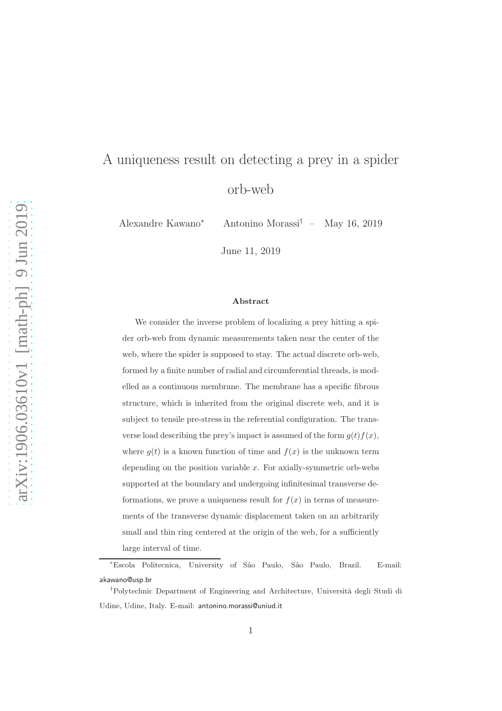# A uniqueness result on detecting a prey in a spider orb-web

Alexandre Kawano<sup>∗</sup> Antonino Morassi† – May 16, 2019

June 11, 2019

#### Abstract

We consider the inverse problem of localizing a prey hitting a spider orb-web from dynamic measurements taken near the center of the web, where the spider is supposed to stay. The actual discrete orb-web, formed by a finite number of radial and circumferential threads, is modelled as a continuous membrane. The membrane has a specific fibrous structure, which is inherited from the original discrete web, and it is subject to tensile pre-stress in the referential configuration. The transverse load describing the prey's impact is assumed of the form  $g(t)f(x)$ , where  $g(t)$  is a known function of time and  $f(x)$  is the unknown term depending on the position variable  $x$ . For axially-symmetric orb-webs supported at the boundary and undergoing infinitesimal transverse deformations, we prove a uniqueness result for  $f(x)$  in terms of measurements of the transverse dynamic displacement taken on an arbitrarily small and thin ring centered at the origin of the web, for a sufficiently large interval of time.

<sup>∗</sup>Escola Politecnica, University of S˜ao Paulo, S˜ao Paulo, Brazil. E-mail: akawano@usp.br

<sup>†</sup>Polytechnic Department of Engineering and Architecture, Universit`a degli Studi di Udine, Udine, Italy. E-mail: antonino.morassi@uniud.it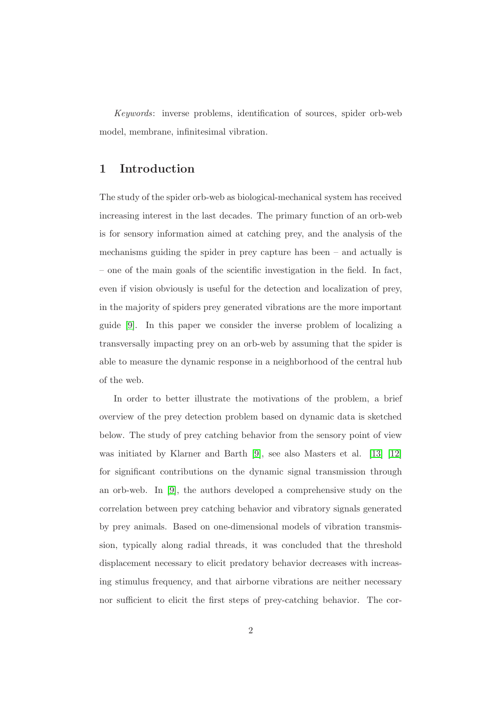Keywords: inverse problems, identification of sources, spider orb-web model, membrane, infinitesimal vibration.

## 1 Introduction

The study of the spider orb-web as biological-mechanical system has received increasing interest in the last decades. The primary function of an orb-web is for sensory information aimed at catching prey, and the analysis of the mechanisms guiding the spider in prey capture has been – and actually is – one of the main goals of the scientific investigation in the field. In fact, even if vision obviously is useful for the detection and localization of prey, in the majority of spiders prey generated vibrations are the more important guide [\[9\]](#page-30-0). In this paper we consider the inverse problem of localizing a transversally impacting prey on an orb-web by assuming that the spider is able to measure the dynamic response in a neighborhood of the central hub of the web.

In order to better illustrate the motivations of the problem, a brief overview of the prey detection problem based on dynamic data is sketched below. The study of prey catching behavior from the sensory point of view was initiated by Klarner and Barth [\[9\]](#page-30-0), see also Masters et al. [\[13\]](#page-30-1) [\[12\]](#page-30-2) for significant contributions on the dynamic signal transmission through an orb-web. In [\[9\]](#page-30-0), the authors developed a comprehensive study on the correlation between prey catching behavior and vibratory signals generated by prey animals. Based on one-dimensional models of vibration transmission, typically along radial threads, it was concluded that the threshold displacement necessary to elicit predatory behavior decreases with increasing stimulus frequency, and that airborne vibrations are neither necessary nor sufficient to elicit the first steps of prey-catching behavior. The cor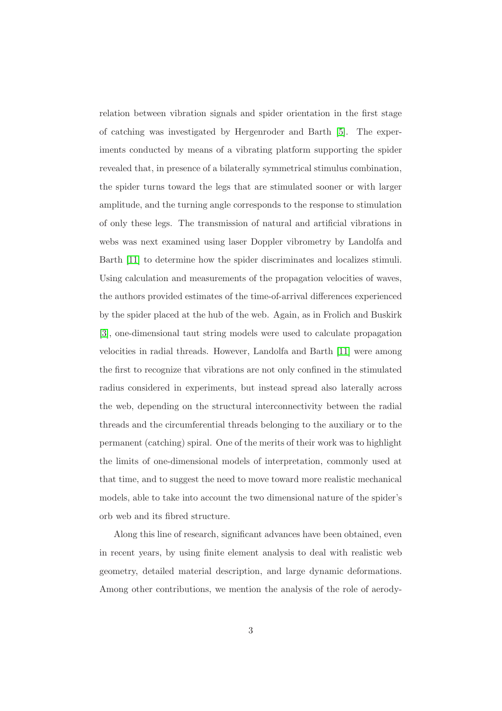relation between vibration signals and spider orientation in the first stage of catching was investigated by Hergenroder and Barth [\[5\]](#page-29-0). The experiments conducted by means of a vibrating platform supporting the spider revealed that, in presence of a bilaterally symmetrical stimulus combination, the spider turns toward the legs that are stimulated sooner or with larger amplitude, and the turning angle corresponds to the response to stimulation of only these legs. The transmission of natural and artificial vibrations in webs was next examined using laser Doppler vibrometry by Landolfa and Barth [\[11\]](#page-30-3) to determine how the spider discriminates and localizes stimuli. Using calculation and measurements of the propagation velocities of waves, the authors provided estimates of the time-of-arrival differences experienced by the spider placed at the hub of the web. Again, as in Frolich and Buskirk [\[3\]](#page-29-1), one-dimensional taut string models were used to calculate propagation velocities in radial threads. However, Landolfa and Barth [\[11\]](#page-30-3) were among the first to recognize that vibrations are not only confined in the stimulated radius considered in experiments, but instead spread also laterally across the web, depending on the structural interconnectivity between the radial threads and the circumferential threads belonging to the auxiliary or to the permanent (catching) spiral. One of the merits of their work was to highlight the limits of one-dimensional models of interpretation, commonly used at that time, and to suggest the need to move toward more realistic mechanical models, able to take into account the two dimensional nature of the spider's orb web and its fibred structure.

Along this line of research, significant advances have been obtained, even in recent years, by using finite element analysis to deal with realistic web geometry, detailed material description, and large dynamic deformations. Among other contributions, we mention the analysis of the role of aerody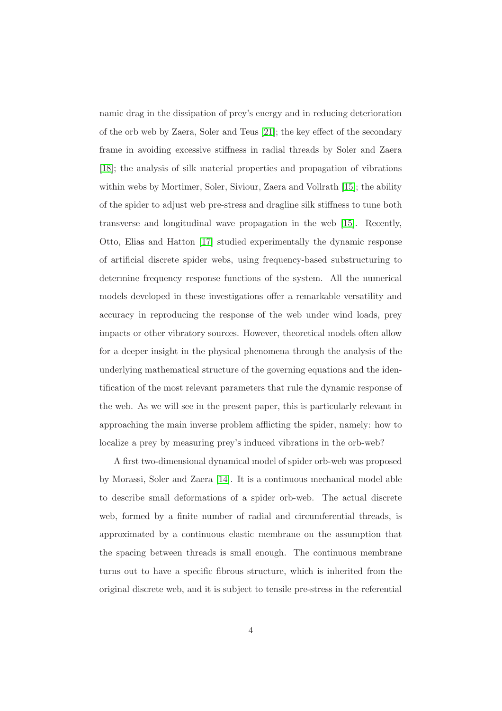namic drag in the dissipation of prey's energy and in reducing deterioration of the orb web by Zaera, Soler and Teus [\[21\]](#page-31-0); the key effect of the secondary frame in avoiding excessive stiffness in radial threads by Soler and Zaera [\[18\]](#page-31-1); the analysis of silk material properties and propagation of vibrations within webs by Mortimer, Soler, Siviour, Zaera and Vollrath [\[15\]](#page-31-2); the ability of the spider to adjust web pre-stress and dragline silk stiffness to tune both transverse and longitudinal wave propagation in the web [\[15\]](#page-31-2). Recently, Otto, Elias and Hatton [\[17\]](#page-31-3) studied experimentally the dynamic response of artificial discrete spider webs, using frequency-based substructuring to determine frequency response functions of the system. All the numerical models developed in these investigations offer a remarkable versatility and accuracy in reproducing the response of the web under wind loads, prey impacts or other vibratory sources. However, theoretical models often allow for a deeper insight in the physical phenomena through the analysis of the underlying mathematical structure of the governing equations and the identification of the most relevant parameters that rule the dynamic response of the web. As we will see in the present paper, this is particularly relevant in approaching the main inverse problem afflicting the spider, namely: how to localize a prey by measuring prey's induced vibrations in the orb-web?

A first two-dimensional dynamical model of spider orb-web was proposed by Morassi, Soler and Zaera [\[14\]](#page-30-4). It is a continuous mechanical model able to describe small deformations of a spider orb-web. The actual discrete web, formed by a finite number of radial and circumferential threads, is approximated by a continuous elastic membrane on the assumption that the spacing between threads is small enough. The continuous membrane turns out to have a specific fibrous structure, which is inherited from the original discrete web, and it is subject to tensile pre-stress in the referential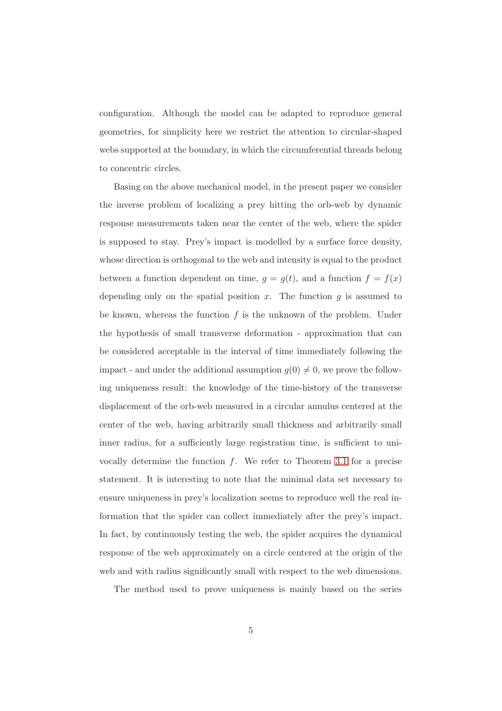configuration. Although the model can be adapted to reproduce general geometries, for simplicity here we restrict the attention to circular-shaped webs supported at the boundary, in which the circumferential threads belong to concentric circles.

Basing on the above mechanical model, in the present paper we consider the inverse problem of localizing a prey hitting the orb-web by dynamic response measurements taken near the center of the web, where the spider is supposed to stay. Prey's impact is modelled by a surface force density, whose direction is orthogonal to the web and intensity is equal to the product between a function dependent on time,  $g = g(t)$ , and a function  $f = f(x)$ depending only on the spatial position  $x$ . The function  $g$  is assumed to be known, whereas the function  $f$  is the unknown of the problem. Under the hypothesis of small transverse deformation - approximation that can be considered acceptable in the interval of time immediately following the impact - and under the additional assumption  $g(0) \neq 0$ , we prove the following uniqueness result: the knowledge of the time-history of the transverse displacement of the orb-web measured in a circular annulus centered at the center of the web, having arbitrarily small thickness and arbitrarily small inner radius, for a sufficiently large registration time, is sufficient to univocally determine the function  $f$ . We refer to Theorem [3.1](#page-13-0) for a precise statement. It is interesting to note that the minimal data set necessary to ensure uniqueness in prey's localization seems to reproduce well the real information that the spider can collect immediately after the prey's impact. In fact, by continuously testing the web, the spider acquires the dynamical response of the web approximately on a circle centered at the origin of the web and with radius significantly small with respect to the web dimensions.

The method used to prove uniqueness is mainly based on the series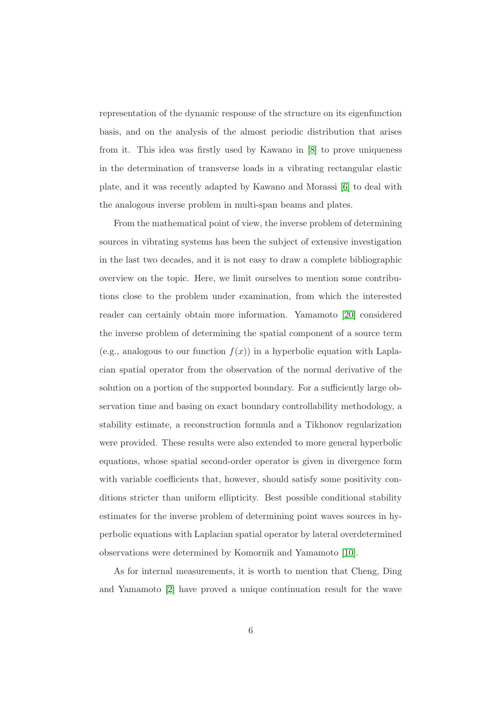representation of the dynamic response of the structure on its eigenfunction basis, and on the analysis of the almost periodic distribution that arises from it. This idea was firstly used by Kawano in [\[8\]](#page-30-5) to prove uniqueness in the determination of transverse loads in a vibrating rectangular elastic plate, and it was recently adapted by Kawano and Morassi [\[6\]](#page-29-2) to deal with the analogous inverse problem in multi-span beams and plates.

From the mathematical point of view, the inverse problem of determining sources in vibrating systems has been the subject of extensive investigation in the last two decades, and it is not easy to draw a complete bibliographic overview on the topic. Here, we limit ourselves to mention some contributions close to the problem under examination, from which the interested reader can certainly obtain more information. Yamamoto [\[20\]](#page-31-4) considered the inverse problem of determining the spatial component of a source term (e.g., analogous to our function  $f(x)$ ) in a hyperbolic equation with Laplacian spatial operator from the observation of the normal derivative of the solution on a portion of the supported boundary. For a sufficiently large observation time and basing on exact boundary controllability methodology, a stability estimate, a reconstruction formula and a Tikhonov regularization were provided. These results were also extended to more general hyperbolic equations, whose spatial second-order operator is given in divergence form with variable coefficients that, however, should satisfy some positivity conditions stricter than uniform ellipticity. Best possible conditional stability estimates for the inverse problem of determining point waves sources in hyperbolic equations with Laplacian spatial operator by lateral overdetermined observations were determined by Komornik and Yamamoto [\[10\]](#page-30-6).

As for internal measurements, it is worth to mention that Cheng, Ding and Yamamoto [\[2\]](#page-29-3) have proved a unique continuation result for the wave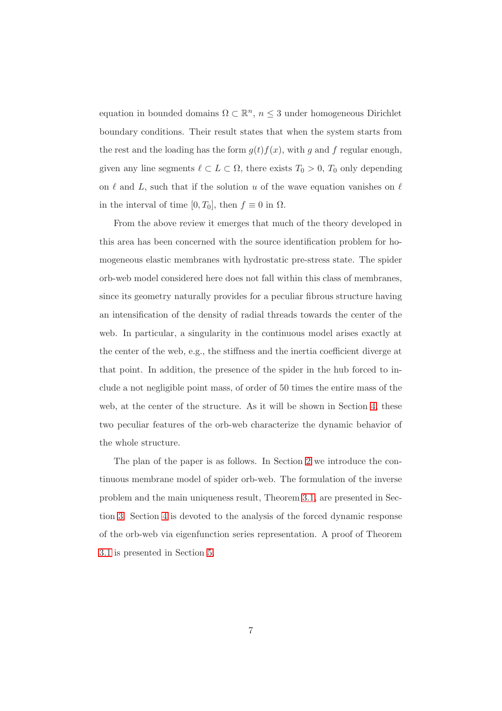equation in bounded domains  $\Omega \subset \mathbb{R}^n$ ,  $n \leq 3$  under homogeneous Dirichlet boundary conditions. Their result states that when the system starts from the rest and the loading has the form  $g(t)f(x)$ , with g and f regular enough, given any line segments  $\ell \subset L \subset \Omega$ , there exists  $T_0 > 0$ ,  $T_0$  only depending on  $\ell$  and  $L$ , such that if the solution u of the wave equation vanishes on  $\ell$ in the interval of time [0, T<sub>0</sub>], then  $f \equiv 0$  in  $\Omega$ .

From the above review it emerges that much of the theory developed in this area has been concerned with the source identification problem for homogeneous elastic membranes with hydrostatic pre-stress state. The spider orb-web model considered here does not fall within this class of membranes, since its geometry naturally provides for a peculiar fibrous structure having an intensification of the density of radial threads towards the center of the web. In particular, a singularity in the continuous model arises exactly at the center of the web, e.g., the stiffness and the inertia coefficient diverge at that point. In addition, the presence of the spider in the hub forced to include a not negligible point mass, of order of 50 times the entire mass of the web, at the center of the structure. As it will be shown in Section [4,](#page-14-0) these two peculiar features of the orb-web characterize the dynamic behavior of the whole structure.

The plan of the paper is as follows. In Section [2](#page-7-0) we introduce the continuous membrane model of spider orb-web. The formulation of the inverse problem and the main uniqueness result, Theorem [3.1,](#page-13-0) are presented in Section [3.](#page-12-0) Section [4](#page-14-0) is devoted to the analysis of the forced dynamic response of the orb-web via eigenfunction series representation. A proof of Theorem [3.1](#page-13-0) is presented in Section [5.](#page-24-0)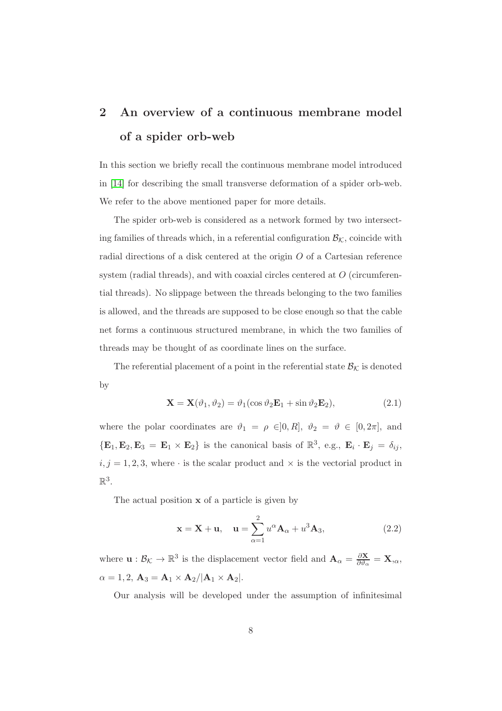## <span id="page-7-0"></span>2 An overview of a continuous membrane model of a spider orb-web

In this section we briefly recall the continuous membrane model introduced in [\[14\]](#page-30-4) for describing the small transverse deformation of a spider orb-web. We refer to the above mentioned paper for more details.

The spider orb-web is considered as a network formed by two intersecting families of threads which, in a referential configuration  $\mathcal{B}_{\mathcal{K}}$ , coincide with radial directions of a disk centered at the origin O of a Cartesian reference system (radial threads), and with coaxial circles centered at O (circumferential threads). No slippage between the threads belonging to the two families is allowed, and the threads are supposed to be close enough so that the cable net forms a continuous structured membrane, in which the two families of threads may be thought of as coordinate lines on the surface.

The referential placement of a point in the referential state  $\mathcal{B}_{\mathcal{K}}$  is denoted by

$$
\mathbf{X} = \mathbf{X}(\vartheta_1, \vartheta_2) = \vartheta_1(\cos \vartheta_2 \mathbf{E}_1 + \sin \vartheta_2 \mathbf{E}_2),\tag{2.1}
$$

where the polar coordinates are  $\vartheta_1 = \rho \in ]0, R]$ ,  $\vartheta_2 = \vartheta \in [0, 2\pi]$ , and  ${E_1, E_2, E_3 = E_1 \times E_2}$  is the canonical basis of  $\mathbb{R}^3$ , e.g.,  $E_i \cdot E_j = \delta_{ij}$ ,  $i, j = 1, 2, 3$ , where  $\cdot$  is the scalar product and  $\times$  is the vectorial product in  $\mathbb{R}^3$ .

The actual position x of a particle is given by

$$
\mathbf{x} = \mathbf{X} + \mathbf{u}, \quad \mathbf{u} = \sum_{\alpha=1}^{2} u^{\alpha} \mathbf{A}_{\alpha} + u^{3} \mathbf{A}_{3}, \tag{2.2}
$$

where  $\mathbf{u}: \mathcal{B}_{\mathcal{K}} \to \mathbb{R}^3$  is the displacement vector field and  $\mathbf{A}_{\alpha} = \frac{\partial \mathbf{X}}{\partial \theta_{\alpha}}$  $\frac{\partial \mathbf{X}}{\partial \vartheta_{\alpha}} = \mathbf{X}_{,\alpha},$  $\alpha = 1, 2, \mathbf{A}_3 = \mathbf{A}_1 \times \mathbf{A}_2 / |\mathbf{A}_1 \times \mathbf{A}_2|.$ 

Our analysis will be developed under the assumption of infinitesimal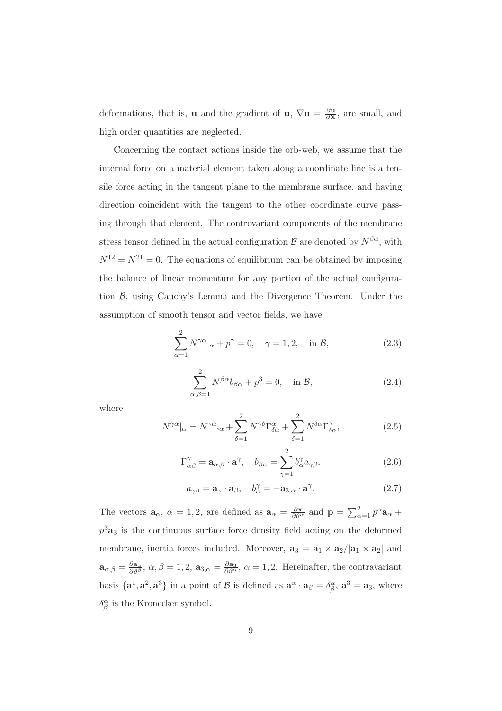deformations, that is, **u** and the gradient of **u**,  $\nabla$ **u** =  $\frac{\partial \mathbf{u}}{\partial \mathbf{X}}$  $\frac{\partial \mathbf{u}}{\partial \mathbf{X}}$ , are small, and high order quantities are neglected.

Concerning the contact actions inside the orb-web, we assume that the internal force on a material element taken along a coordinate line is a tensile force acting in the tangent plane to the membrane surface, and having direction coincident with the tangent to the other coordinate curve passing through that element. The controvariant components of the membrane stress tensor defined in the actual configuration  $\mathcal{B}$  are denoted by  $N^{\beta\alpha}$ , with  $N^{12} = N^{21} = 0$ . The equations of equilibrium can be obtained by imposing the balance of linear momentum for any portion of the actual configuration B, using Cauchy's Lemma and the Divergence Theorem. Under the assumption of smooth tensor and vector fields, we have

<span id="page-8-1"></span>
$$
\sum_{\alpha=1}^{2} N^{\gamma\alpha}|_{\alpha} + p^{\gamma} = 0, \quad \gamma = 1, 2, \quad \text{in } \mathcal{B}, \tag{2.3}
$$

<span id="page-8-0"></span>
$$
\sum_{\alpha,\beta=1}^{2} N^{\beta\alpha} b_{\beta\alpha} + p^3 = 0, \quad \text{in } \mathcal{B}, \tag{2.4}
$$

where

$$
N^{\gamma\alpha}|_{\alpha} = N^{\gamma\alpha}{}_{,\alpha} + \sum_{\delta=1}^{2} N^{\gamma\delta} \Gamma^{\alpha}_{\delta\alpha} + \sum_{\delta=1}^{2} N^{\delta\alpha} \Gamma^{\gamma}_{\delta\alpha},\tag{2.5}
$$

$$
\Gamma^{\gamma}_{\alpha\beta} = \mathbf{a}_{\alpha,\beta} \cdot \mathbf{a}^{\gamma}, \quad b_{\beta\alpha} = \sum_{\gamma=1}^{2} b_{\alpha}^{\gamma} a_{\gamma\beta}, \tag{2.6}
$$

$$
a_{\gamma\beta} = \mathbf{a}_{\gamma} \cdot \mathbf{a}_{\beta}, \quad b_{\alpha}^{\gamma} = -\mathbf{a}_{3,\alpha} \cdot \mathbf{a}^{\gamma}.
$$
 (2.7)

The vectors  $\mathbf{a}_{\alpha}$ ,  $\alpha = 1, 2$ , are defined as  $\mathbf{a}_{\alpha} = \frac{\partial \mathbf{x}}{\partial \theta^{\alpha}}$  and  $\mathbf{p} = \sum_{\alpha=1}^{2} p^{\alpha} \mathbf{a}_{\alpha} + p^{\beta} \mathbf{a}_{\alpha}$  $p^3$ **a**<sub>3</sub> is the continuous surface force density field acting on the deformed membrane, inertia forces included. Moreover,  $\mathbf{a}_3 = \mathbf{a}_1 \times \mathbf{a}_2/|\mathbf{a}_1 \times \mathbf{a}_2|$  and  $\mathbf{a}_{\alpha,\beta} = \frac{\partial \mathbf{a}_{\alpha}}{\partial \theta^{\beta}}, \ \alpha, \beta = 1, 2, \ \mathbf{a}_{3,\alpha} = \frac{\partial \mathbf{a}_{3}}{\partial \theta^{\alpha}}, \ \alpha = 1, 2.$  Hereinafter, the contravariant basis  $\{a^1, a^2, a^3\}$  in a point of  $\beta$  is defined as  $a^{\alpha} \cdot a_{\beta} = \delta_{\beta}^{\alpha}, a^3 = a_3$ , where  $\delta^\alpha_\beta$  is the Kronecker symbol.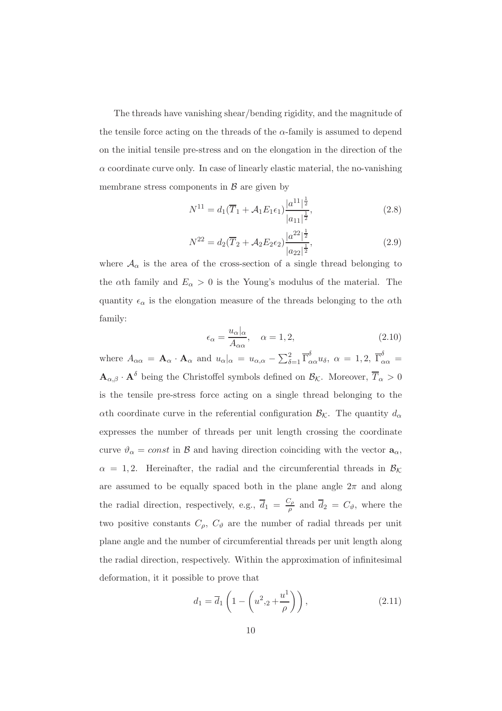The threads have vanishing shear/bending rigidity, and the magnitude of the tensile force acting on the threads of the  $\alpha$ -family is assumed to depend on the initial tensile pre-stress and on the elongation in the direction of the  $\alpha$  coordinate curve only. In case of linearly elastic material, the no-vanishing membrane stress components in  $\beta$  are given by

<span id="page-9-1"></span>
$$
N^{11} = d_1(\overline{T}_1 + \mathcal{A}_1 E_1 \epsilon_1) \frac{|a^{11}|^{\frac{1}{2}}}{|a_{11}|^{\frac{1}{2}}},
$$
\n(2.8)

<span id="page-9-2"></span>
$$
N^{22} = d_2(\overline{T}_2 + \mathcal{A}_2 E_2 \epsilon_2) \frac{|a^{22}|^{\frac{1}{2}}}{|a_{22}|^{\frac{1}{2}}},
$$
\n(2.9)

where  $A_{\alpha}$  is the area of the cross-section of a single thread belonging to the  $\alpha$ th family and  $E_{\alpha} > 0$  is the Young's modulus of the material. The quantity  $\epsilon_{\alpha}$  is the elongation measure of the threads belonging to the  $\alpha$ th family:

$$
\epsilon_{\alpha} = \frac{u_{\alpha}|_{\alpha}}{A_{\alpha\alpha}}, \quad \alpha = 1, 2,
$$
\n(2.10)

where  $A_{\alpha\alpha} = \mathbf{A}_{\alpha} \cdot \mathbf{A}_{\alpha}$  and  $u_{\alpha}|_{\alpha} = u_{\alpha,\alpha} - \sum_{\delta=1}^2 \overline{\Gamma}^{\delta}_{\alpha\alpha} u_{\delta}, \ \alpha = 1,2, \ \overline{\Gamma}^{\delta}_{\alpha\alpha} =$  $\mathbf{A}_{\alpha,\beta} \cdot \mathbf{A}^{\delta}$  being the Christoffel symbols defined on  $\mathcal{B}_{\mathcal{K}}$ . Moreover,  $\overline{T}_{\alpha} > 0$ is the tensile pre-stress force acting on a single thread belonging to the ath coordinate curve in the referential configuration  $\mathcal{B}_{\mathcal{K}}$ . The quantity  $d_{\alpha}$ expresses the number of threads per unit length crossing the coordinate curve  $\vartheta_{\alpha} = const$  in B and having direction coinciding with the vector  $a_{\alpha}$ ,  $\alpha = 1, 2$ . Hereinafter, the radial and the circumferential threads in  $\mathcal{B}_{\mathcal{K}}$ are assumed to be equally spaced both in the plane angle  $2\pi$  and along the radial direction, respectively, e.g.,  $\overline{d}_1 = \frac{C_\rho}{a}$  $\frac{\partial \rho}{\partial \rho}$  and  $d_2 = C_{\vartheta}$ , where the two positive constants  $C_{\rho}$ ,  $C_{\vartheta}$  are the number of radial threads per unit plane angle and the number of circumferential threads per unit length along the radial direction, respectively. Within the approximation of infinitesimal deformation, it it possible to prove that

<span id="page-9-0"></span>
$$
d_1 = \overline{d}_1 \left( 1 - \left( u^2_{\ \, ,2} + \frac{u^1}{\rho} \right) \right),\tag{2.11}
$$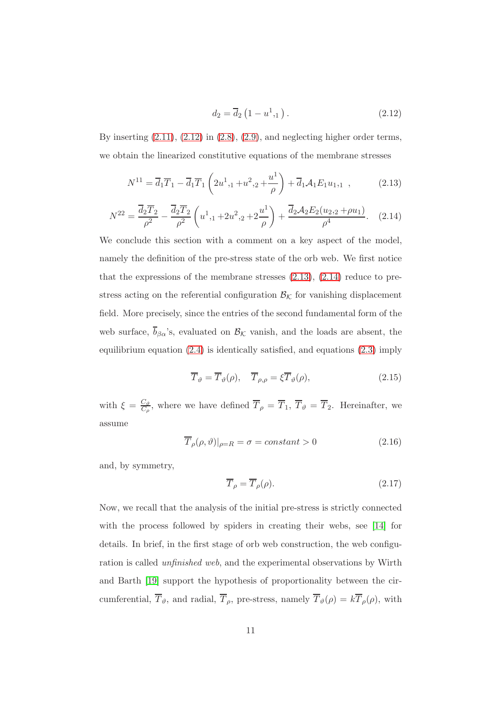<span id="page-10-0"></span>
$$
d_2 = \overline{d}_2 \left( 1 - u^1_{1,1} \right). \tag{2.12}
$$

By inserting  $(2.11)$ ,  $(2.12)$  in  $(2.8)$ ,  $(2.9)$ , and neglecting higher order terms, we obtain the linearized constitutive equations of the membrane stresses

<span id="page-10-1"></span>
$$
N^{11} = \overline{d}_1 \overline{T}_1 - \overline{d}_1 \overline{T}_1 \left( 2u^1_{1,1} + u^2_{1,2} + \frac{u^1}{\rho} \right) + \overline{d}_1 \mathcal{A}_1 E_1 u_{1,1} , \qquad (2.13)
$$

<span id="page-10-2"></span>
$$
N^{22} = \frac{\overline{d}_2 \overline{T}_2}{\rho^2} - \frac{\overline{d}_2 \overline{T}_2}{\rho^2} \left( u^1_{1,1} + 2u^2_{1,2} + 2\frac{u^1}{\rho} \right) + \frac{\overline{d}_2 \mathcal{A}_2 E_2(u_2, 2 + \rho u_1)}{\rho^4}.
$$
 (2.14)

We conclude this section with a comment on a key aspect of the model, namely the definition of the pre-stress state of the orb web. We first notice that the expressions of the membrane stresses  $(2.13)$ ,  $(2.14)$  reduce to prestress acting on the referential configuration  $B_K$  for vanishing displacement field. More precisely, since the entries of the second fundamental form of the web surface,  $\overline{b}_{\beta\alpha}$ 's, evaluated on  $\mathcal{B}_{\mathcal{K}}$  vanish, and the loads are absent, the equilibrium equation [\(2.4\)](#page-8-0) is identically satisfied, and equations [\(2.3\)](#page-8-1) imply

<span id="page-10-3"></span>
$$
\overline{T}_{\vartheta} = \overline{T}_{\vartheta}(\rho), \quad \overline{T}_{\rho,\rho} = \xi \overline{T}_{\vartheta}(\rho), \tag{2.15}
$$

with  $\xi = \frac{C_{\vartheta}}{C_{\tau}}$  $\frac{C_{\vartheta}}{C_{\rho}}$ , where we have defined  $T_{\rho} = T_1, T_{\vartheta} = T_2$ . Hereinafter, we assume

$$
\overline{T}_{\rho}(\rho,\vartheta)|_{\rho=R} = \sigma = constant > 0 \qquad (2.16)
$$

and, by symmetry,

$$
\overline{T}_{\rho} = \overline{T}_{\rho}(\rho). \tag{2.17}
$$

Now, we recall that the analysis of the initial pre-stress is strictly connected with the process followed by spiders in creating their webs, see [\[14\]](#page-30-4) for details. In brief, in the first stage of orb web construction, the web configuration is called unfinished web, and the experimental observations by Wirth and Barth [\[19\]](#page-31-5) support the hypothesis of proportionality between the circumferential,  $\overline{T}_{\vartheta}$ , and radial,  $\overline{T}_{\rho}$ , pre-stress, namely  $\overline{T}_{\vartheta}(\rho) = k \overline{T}_{\rho}(\rho)$ , with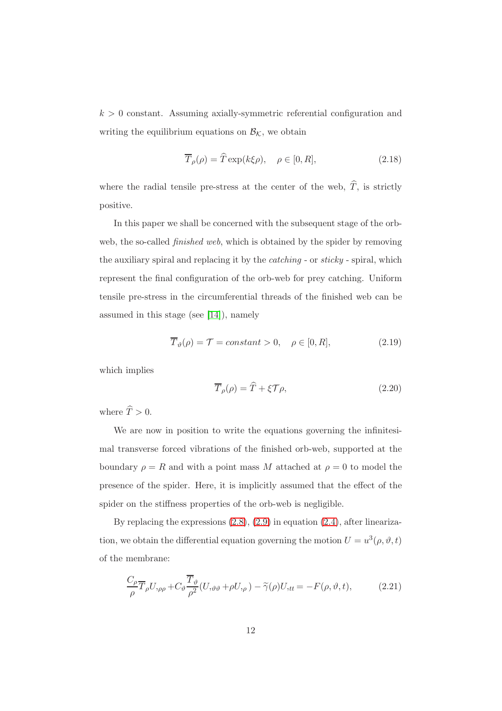$k > 0$  constant. Assuming axially-symmetric referential configuration and writing the equilibrium equations on  $\mathcal{B}_{\mathcal{K}}$ , we obtain

$$
\overline{T}_{\rho}(\rho) = \widehat{T} \exp(k\xi\rho), \quad \rho \in [0, R], \tag{2.18}
$$

where the radial tensile pre-stress at the center of the web,  $\hat{T}$ , is strictly positive.

In this paper we shall be concerned with the subsequent stage of the orbweb, the so-called *finished web*, which is obtained by the spider by removing the auxiliary spiral and replacing it by the catching - or sticky - spiral, which represent the final configuration of the orb-web for prey catching. Uniform tensile pre-stress in the circumferential threads of the finished web can be assumed in this stage (see [\[14\]](#page-30-4)), namely

<span id="page-11-0"></span>
$$
\overline{T}_{\vartheta}(\rho) = \mathcal{T} = constant > 0, \quad \rho \in [0, R], \tag{2.19}
$$

which implies

<span id="page-11-1"></span>
$$
\overline{T}_{\rho}(\rho) = \widehat{T} + \xi \mathcal{T} \rho, \tag{2.20}
$$

where  $\widehat{T} > 0$ .

We are now in position to write the equations governing the infinitesimal transverse forced vibrations of the finished orb-web, supported at the boundary  $\rho = R$  and with a point mass M attached at  $\rho = 0$  to model the presence of the spider. Here, it is implicitly assumed that the effect of the spider on the stiffness properties of the orb-web is negligible.

By replacing the expressions [\(2.8\)](#page-9-1), [\(2.9\)](#page-9-2) in equation [\(2.4\)](#page-8-0), after linearization, we obtain the differential equation governing the motion  $U = u^3(\rho, \vartheta, t)$ of the membrane:

$$
\frac{C_{\rho}}{\rho} \overline{T}_{\rho} U_{,\rho\rho} + C_{\vartheta} \frac{\overline{T}_{\vartheta}}{\rho^{2}} (U_{,\vartheta\vartheta} + \rho U_{,\rho}) - \widetilde{\gamma}(\rho) U_{,tt} = -F(\rho, \vartheta, t), \qquad (2.21)
$$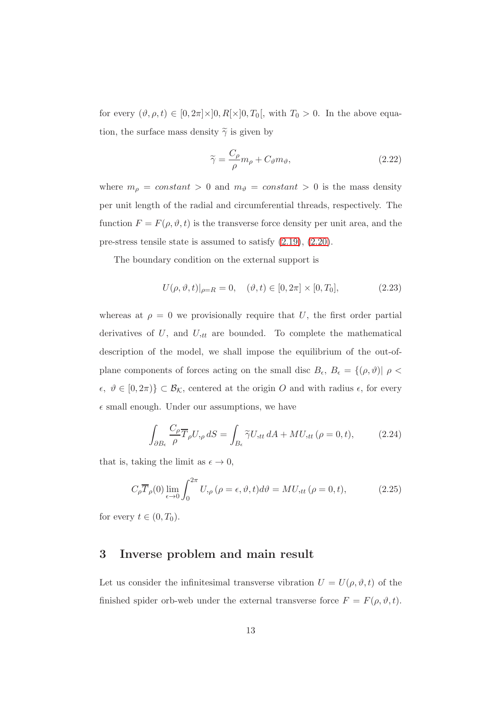for every  $(\vartheta, \rho, t) \in [0, 2\pi] \times ]0, R[\times]0, T_0[$ , with  $T_0 > 0$ . In the above equation, the surface mass density  $\tilde{\gamma}$  is given by

$$
\widetilde{\gamma} = \frac{C_{\rho}}{\rho} m_{\rho} + C_{\vartheta} m_{\vartheta},\tag{2.22}
$$

where  $m_{\rho} = constant > 0$  and  $m_{\vartheta} = constant > 0$  is the mass density per unit length of the radial and circumferential threads, respectively. The function  $F = F(\rho, \vartheta, t)$  is the transverse force density per unit area, and the pre-stress tensile state is assumed to satisfy [\(2.19\)](#page-11-0), [\(2.20\)](#page-11-1).

The boundary condition on the external support is

$$
U(\rho, \vartheta, t)|_{\rho=R} = 0, \quad (\vartheta, t) \in [0, 2\pi] \times [0, T_0], \tag{2.23}
$$

whereas at  $\rho = 0$  we provisionally require that U, the first order partial derivatives of  $U$ , and  $U_{tt}$  are bounded. To complete the mathematical description of the model, we shall impose the equilibrium of the out-ofplane components of forces acting on the small disc  $B_{\epsilon}$ ,  $B_{\epsilon} = \{(\rho, \vartheta)| \rho \leq \epsilon\}$  $\epsilon, \ \vartheta \in [0, 2\pi) \subset \mathcal{B}_{\mathcal{K}}$ , centered at the origin O and with radius  $\epsilon$ , for every  $\epsilon$  small enough. Under our assumptions, we have

$$
\int_{\partial B_{\epsilon}} \frac{C_{\rho}}{\rho} \overline{T}_{\rho} U_{,\rho} dS = \int_{B_{\epsilon}} \widetilde{\gamma} U_{,tt} dA + MU_{,tt} (\rho = 0, t), \tag{2.24}
$$

that is, taking the limit as  $\epsilon \to 0$ ,

<span id="page-12-1"></span>
$$
C_{\rho}\overline{T}_{\rho}(0)\lim_{\epsilon \to 0} \int_0^{2\pi} U_{,\rho}(\rho = \epsilon, \vartheta, t) d\vartheta = MU_{,tt}(\rho = 0, t), \qquad (2.25)
$$

<span id="page-12-0"></span>for every  $t \in (0, T_0)$ .

#### 3 Inverse problem and main result

Let us consider the infinitesimal transverse vibration  $U = U(\rho, \vartheta, t)$  of the finished spider orb-web under the external transverse force  $F = F(\rho, \vartheta, t)$ .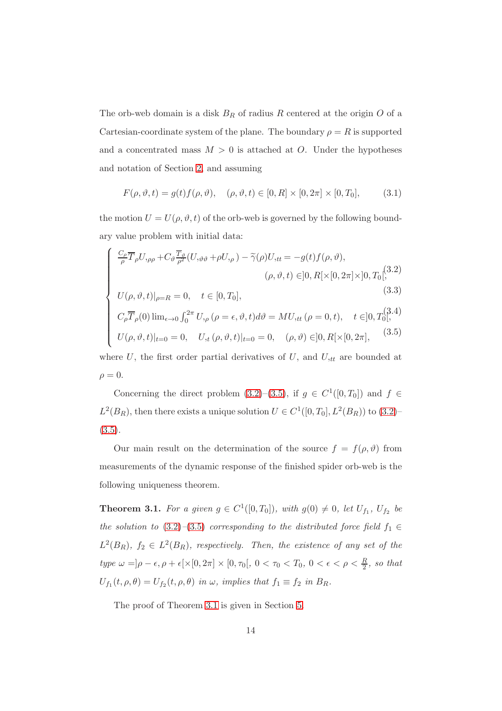The orb-web domain is a disk  $B_R$  of radius R centered at the origin O of a Cartesian-coordinate system of the plane. The boundary  $\rho = R$  is supported and a concentrated mass  $M > 0$  is attached at O. Under the hypotheses and notation of Section [2,](#page-7-0) and assuming

<span id="page-13-1"></span>
$$
F(\rho, \vartheta, t) = g(t)f(\rho, \vartheta), \quad (\rho, \vartheta, t) \in [0, R] \times [0, 2\pi] \times [0, T_0], \tag{3.1}
$$

the motion  $U = U(\rho, \vartheta, t)$  of the orb-web is governed by the following boundary value problem with initial data:

$$
\begin{cases}\n\frac{C_{\rho}}{\rho} \overline{T}_{\rho} U_{,\rho\rho} + C_{\vartheta} \frac{\overline{T}_{\vartheta}}{\rho^{2}} (U_{,\vartheta\vartheta} + \rho U_{,\rho}) - \widetilde{\gamma}(\rho) U_{,tt} = -g(t) f(\rho, \vartheta), \\
(\rho, \vartheta, t) \in ]0, R[ \times [0, 2\pi] \times ]0, T_{0} \tag{3.2} \\
U(\rho, \vartheta, t)|_{\rho=R} = 0, \quad t \in [0, T_{0}], \\
C_{\rho} \overline{T}_{\rho}(0) \lim_{\epsilon \to 0} \int_{0}^{2\pi} U_{,\rho} (\rho = \epsilon, \vartheta, t) d\vartheta = MU_{,tt} (\rho = 0, t), \quad t \in ]0, T_{0} \tag{3.3} \\
U(\rho, \vartheta, t)|_{t=0} = 0, \quad U_{,t} (\rho, \vartheta, t)|_{t=0} = 0, \quad (\rho, \vartheta) \in ]0, R[ \times [0, 2\pi], \quad (3.5) \\
\text{where } U, \text{ the first order partial derivatives of } U, \text{ and } U_{,tt} \text{ are bounded at } \vartheta \text{ is the same.} \n\end{cases}
$$

 $\rho = 0.$ 

Concerning the direct problem [\(3.2\)](#page-13-1)–[\(3.5\)](#page-13-1), if  $g \in C^1([0, T_0])$  and  $f \in$  $L^2(B_R)$ , then there exists a unique solution  $U \in C^1([0, T_0], L^2(B_R))$  to  $(3.2)$ - $(3.5).$  $(3.5).$ 

Our main result on the determination of the source  $f = f(\rho, \vartheta)$  from measurements of the dynamic response of the finished spider orb-web is the following uniqueness theorem.

<span id="page-13-0"></span>**Theorem 3.1.** For a given  $g \in C^1([0,T_0])$ , with  $g(0) \neq 0$ , let  $U_{f_1}$ ,  $U_{f_2}$  be the solution to [\(3.2\)](#page-13-1)–[\(3.5\)](#page-13-1) corresponding to the distributed force field  $f_1 \in$  $L^2(B_R)$ ,  $f_2 \in L^2(B_R)$ , respectively. Then, the existence of any set of the type  $\omega = \vert \rho - \epsilon, \rho + \epsilon \vert \times [0, 2\pi] \times [0, \tau_0[, 0 < \tau_0 < T_0, 0 < \epsilon < \rho < \frac{R}{2}$ , so that  $U_{f_1}(t, \rho, \theta) = U_{f_2}(t, \rho, \theta)$  in  $\omega$ , implies that  $f_1 \equiv f_2$  in  $B_R$ .

The proof of Theorem [3.1](#page-13-0) is given in Section [5.](#page-24-0)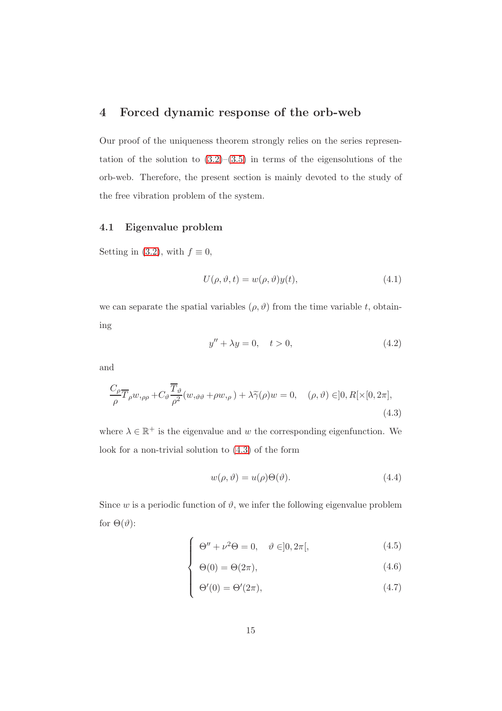## <span id="page-14-0"></span>4 Forced dynamic response of the orb-web

Our proof of the uniqueness theorem strongly relies on the series representation of the solution to  $(3.2)$ – $(3.5)$  in terms of the eigensolutions of the orb-web. Therefore, the present section is mainly devoted to the study of the free vibration problem of the system.

#### 4.1 Eigenvalue problem

Setting in [\(3.2\)](#page-13-1), with  $f \equiv 0$ ,

$$
U(\rho, \vartheta, t) = w(\rho, \vartheta)y(t), \qquad (4.1)
$$

we can separate the spatial variables  $(\rho, \vartheta)$  from the time variable t, obtaining

<span id="page-14-2"></span>
$$
y'' + \lambda y = 0, \quad t > 0,
$$
\n
$$
(4.2)
$$

and

<span id="page-14-1"></span>
$$
\frac{C_{\rho}}{\rho} \overline{T}_{\rho} w_{,\rho\rho} + C_{\vartheta} \frac{\overline{T}_{\vartheta}}{\rho^{2}} (w_{,\vartheta\vartheta} + \rho w_{,\rho}) + \lambda \widetilde{\gamma}(\rho) w = 0, \quad (\rho, \vartheta) \in ]0, R[ \times [0, 2\pi],
$$
\n(4.3)

where  $\lambda \in \mathbb{R}^+$  is the eigenvalue and w the corresponding eigenfunction. We look for a non-trivial solution to [\(4.3\)](#page-14-1) of the form

$$
w(\rho, \vartheta) = u(\rho)\Theta(\vartheta). \tag{4.4}
$$

Since w is a periodic function of  $\vartheta$ , we infer the following eigenvalue problem for  $\Theta(\vartheta)$ :

$$
\begin{cases}\n\Theta'' + \nu^2 \Theta = 0, & \vartheta \in ]0, 2\pi[, \\
\Theta(\Theta) = \Theta(2\pi) & (4.6)\n\end{cases}
$$

$$
\begin{cases}\n\Theta(0) = \Theta(2\pi), \n\Theta'(0) = \Theta'(2\pi),\n\end{cases}
$$
\n(4.6)

$$
\Theta'(0) = \Theta'(2\pi),\tag{4.7}
$$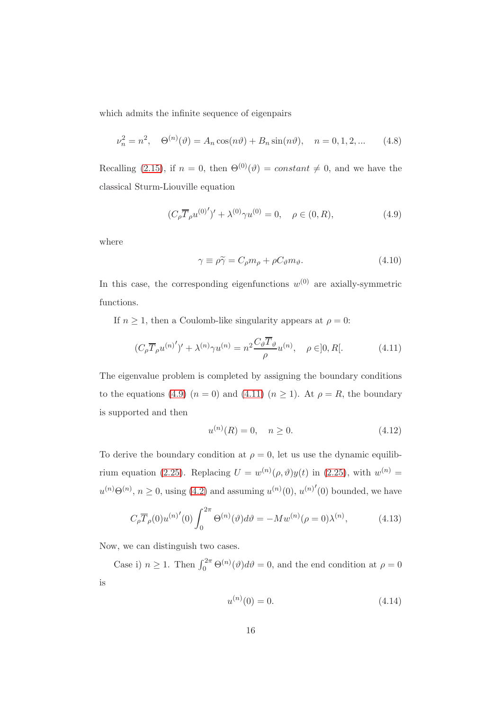which admits the infinite sequence of eigenpairs

$$
\nu_n^2 = n^2, \quad \Theta^{(n)}(\vartheta) = A_n \cos(n\vartheta) + B_n \sin(n\vartheta), \quad n = 0, 1, 2, \dots \tag{4.8}
$$

Recalling [\(2.15\)](#page-10-3), if  $n = 0$ , then  $\Theta^{(0)}(\vartheta) = constant \neq 0$ , and we have the classical Sturm-Liouville equation

<span id="page-15-0"></span>
$$
(C_{\rho}\overline{T}_{\rho}u^{(0)'}')' + \lambda^{(0)}\gamma u^{(0)} = 0, \quad \rho \in (0, R), \tag{4.9}
$$

where

$$
\gamma \equiv \rho \tilde{\gamma} = C_{\rho} m_{\rho} + \rho C_{\vartheta} m_{\vartheta}.
$$
\n(4.10)

In this case, the corresponding eigenfunctions  $w^{(0)}$  are axially-symmetric functions.

If  $n \geq 1$ , then a Coulomb-like singularity appears at  $\rho = 0$ :

<span id="page-15-1"></span>
$$
(C_{\rho}\overline{T}_{\rho}u^{(n)'}')' + \lambda^{(n)}\gamma u^{(n)} = n^2 \frac{C_{\vartheta}\overline{T}_{\vartheta}}{\rho}u^{(n)}, \quad \rho \in ]0, R[.
$$
 (4.11)

The eigenvalue problem is completed by assigning the boundary conditions to the equations [\(4.9\)](#page-15-0)  $(n = 0)$  and [\(4.11\)](#page-15-1)  $(n \ge 1)$ . At  $\rho = R$ , the boundary is supported and then

$$
u^{(n)}(R) = 0, \quad n \ge 0. \tag{4.12}
$$

To derive the boundary condition at  $\rho = 0$ , let us use the dynamic equilib-rium equation [\(2.25\)](#page-12-1). Replacing  $U = w^{(n)}(\rho, \vartheta) y(t)$  in (2.25), with  $w^{(n)} =$  $u^{(n)}\Theta^{(n)}$ ,  $n \geq 0$ , using [\(4.2\)](#page-14-2) and assuming  $u^{(n)}(0)$ ,  $u^{(n)'}(0)$  bounded, we have

$$
C_{\rho} \overline{T}_{\rho}(0) u^{(n)'}(0) \int_0^{2\pi} \Theta^{(n)}(\vartheta) d\vartheta = -M w^{(n)}(\rho = 0) \lambda^{(n)}, \qquad (4.13)
$$

Now, we can distinguish two cases.

Case i)  $n \ge 1$ . Then  $\int_0^{2\pi} \Theta^{(n)}(\theta) d\theta = 0$ , and the end condition at  $\rho = 0$ is

$$
u^{(n)}(0) = 0.\t\t(4.14)
$$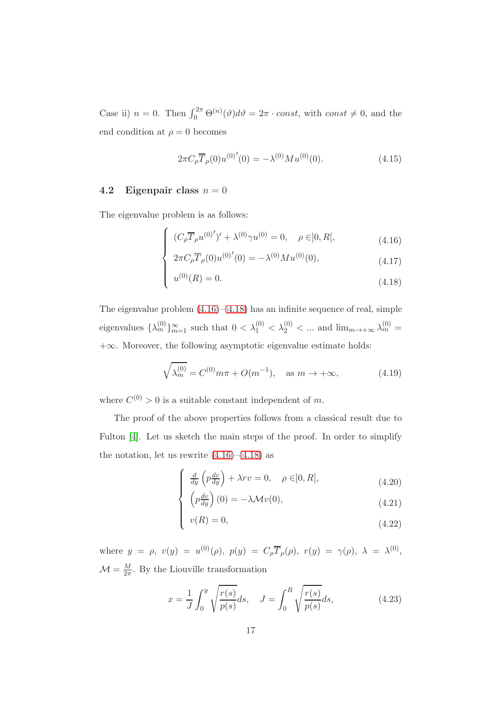Case ii)  $n = 0$ . Then  $\int_0^{2\pi} \Theta^{(n)}(\theta) d\theta = 2\pi \cdot const$ , with  $const \neq 0$ , and the end condition at  $\rho = 0$  becomes

$$
2\pi C_{\rho} \overline{T}_{\rho}(0) u^{(0)'}(0) = -\lambda^{(0)} M u^{(0)}(0). \tag{4.15}
$$

#### 4.2 Eigenpair class  $n = 0$

The eigenvalue problem is as follows:

$$
\int (C_{\rho} \overline{T}_{\rho} u^{(0)'} )' + \lambda^{(0)} \gamma u^{(0)} = 0, \quad \rho \in ]0, R[,
$$
\n(4.16)

<span id="page-16-0"></span>
$$
2\pi C_{\rho}\overline{T}_{\rho}(0)u^{(0)'}(0) = -\lambda^{(0)}Mu^{(0)}(0),\tag{4.17}
$$

$$
u^{(0)}(R) = 0.\t\t(4.18)
$$

The eigenvalue problem  $(4.16)$ – $(4.18)$  has an infinite sequence of real, simple eigenvalues  $\{\lambda_m^{(0)}\}_{m=1}^{\infty}$  such that  $0 < \lambda_1^{(0)} < \lambda_2^{(0)} < \dots$  and  $\lim_{m \to +\infty} \lambda_m^{(0)} =$  $+\infty$ . Moreover, the following asymptotic eigenvalue estimate holds:

<span id="page-16-1"></span>
$$
\sqrt{\lambda_m^{(0)}} = C^{(0)} m\pi + O(m^{-1}), \quad \text{as } m \to +\infty,
$$
 (4.19)

where  $C^{(0)} > 0$  is a suitable constant independent of m.

The proof of the above properties follows from a classical result due to Fulton [\[4\]](#page-29-4). Let us sketch the main steps of the proof. In order to simplify the notation, let us rewrite  $(4.16)$ – $(4.18)$  as

$$
\int \frac{d}{dy} \left( p \frac{dv}{dy} \right) + \lambda rv = 0, \quad \rho \in ]0, R[, \tag{4.20}
$$

$$
\begin{cases}\n\left(p\frac{dv}{dy}\right)(0) = -\lambda \mathcal{M}v(0),\\ \nv(R) = 0,\n\end{cases}
$$
\n(4.21)

$$
v(R) = 0,\t\t(4.22)
$$

where  $y = \rho$ ,  $v(y) = u^{(0)}(\rho)$ ,  $p(y) = C_{\rho} \overline{T}_{\rho}(\rho)$ ,  $r(y) = \gamma(\rho)$ ,  $\lambda = \lambda^{(0)}$ ,  $\mathcal{M} = \frac{M}{2\pi}$ . By the Liouville transformation

$$
x = \frac{1}{J} \int_0^y \sqrt{\frac{r(s)}{p(s)}} ds, \quad J = \int_0^R \sqrt{\frac{r(s)}{p(s)}} ds,
$$
 (4.23)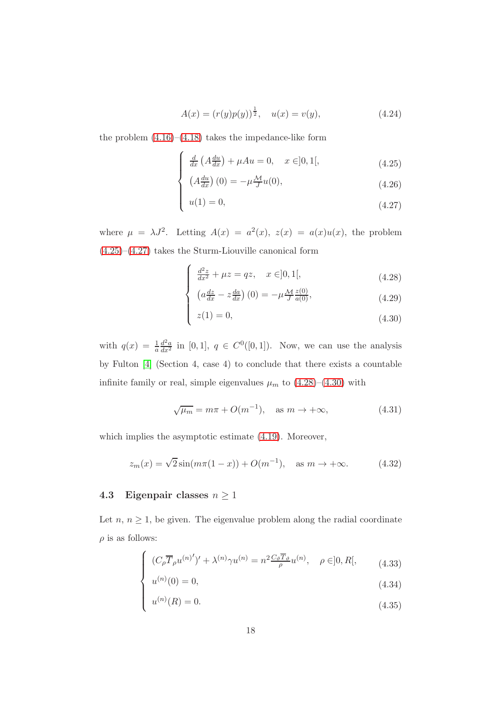$$
A(x) = (r(y)p(y))^{\frac{1}{2}}, \quad u(x) = v(y), \tag{4.24}
$$

the problem  $(4.16)$ – $(4.18)$  takes the impedance-like form

$$
\int \frac{d}{dx} \left( A \frac{du}{dx} \right) + \mu Au = 0, \quad x \in ]0, 1[,
$$
\n(4.25)

<span id="page-17-0"></span>
$$
\left(A\frac{du}{dx}\right)(0) = -\mu \frac{\mathcal{M}}{J}u(0),\tag{4.26}
$$

$$
u(1) = 0,\t\t(4.27)
$$

where  $\mu = \lambda J^2$ . Letting  $A(x) = a^2(x), z(x) = a(x)u(x)$ , the problem  $(4.25)$ – $(4.27)$  takes the Sturm-Liouville canonical form

<span id="page-17-1"></span>
$$
\int \frac{d^2z}{dx^2} + \mu z = qz, \quad x \in ]0, 1[,
$$
\n(4.28)

$$
\begin{cases}\n\left(a\frac{dz}{dx} - z\frac{da}{dx}\right)(0) = -\mu \frac{\mathcal{M}}{J} \frac{z(0)}{a(0)},\\ \nz(1) = 0,\n\end{cases}
$$
\n(4.29)

$$
z(1) = 0,\t(4.30)
$$

with  $q(x) = \frac{1}{a}$  $\frac{d^2a}{dx^2}$  in [0, 1],  $q \in C^0([0,1])$ . Now, we can use the analysis by Fulton [\[4\]](#page-29-4) (Section 4, case 4) to conclude that there exists a countable infinite family or real, simple eigenvalues  $\mu_m$  to  $(4.28)$ – $(4.30)$  with

$$
\sqrt{\mu_m} = m\pi + O(m^{-1}), \quad \text{as } m \to +\infty,
$$
\n(4.31)

which implies the asymptotic estimate [\(4.19\)](#page-16-1). Moreover,

$$
z_m(x) = \sqrt{2}\sin(m\pi(1-x)) + O(m^{-1}), \text{ as } m \to +\infty.
$$
 (4.32)

#### 4.3 Eigenpair classes  $n \geq 1$

Let  $n, n \geq 1$ , be given. The eigenvalue problem along the radial coordinate  $\rho$  is as follows:

<span id="page-17-2"></span>
$$
\int (C_{\rho} \overline{T}_{\rho} u^{(n)'} )' + \lambda^{(n)} \gamma u^{(n)} = n^2 \frac{C_{\vartheta} \overline{T}_{\vartheta}}{\rho} u^{(n)}, \quad \rho \in ]0, R[, \qquad (4.33)
$$

$$
\begin{cases}\nu^{(n)}(0) = 0, \\
u^{(n)}(R) = 0.\n\end{cases}
$$
\n(4.34)\n  
\n(4.35)

$$
u^{(n)}(R) = 0.\t\t(4.35)
$$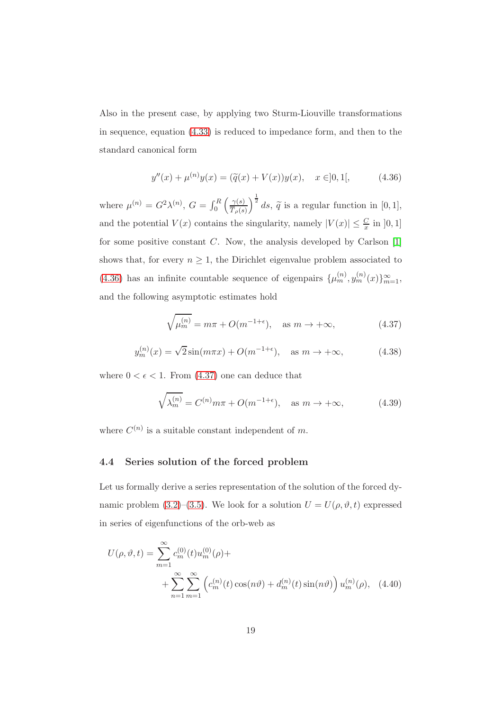Also in the present case, by applying two Sturm-Liouville transformations in sequence, equation [\(4.33\)](#page-17-2) is reduced to impedance form, and then to the standard canonical form

<span id="page-18-0"></span>
$$
y''(x) + \mu^{(n)}y(x) = (\tilde{q}(x) + V(x))y(x), \quad x \in ]0, 1[, \tag{4.36}
$$

where  $\mu^{(n)} = G^2 \lambda^{(n)}$ ,  $G = \int_0^R$  $\int \gamma(s)$  $T_{\rho}(s)$  $\int^{\frac{1}{2}} ds$ ,  $\tilde{q}$  is a regular function in [0, 1], and the potential  $V(x)$  contains the singularity, namely  $|V(x)| \leq \frac{C}{x}$  in  $]0,1]$ for some positive constant  $C$ . Now, the analysis developed by Carlson  $[1]$ shows that, for every  $n \geq 1$ , the Dirichlet eigenvalue problem associated to [\(4.36\)](#page-18-0) has an infinite countable sequence of eigenpairs  $\{\mu_m^{(n)}, y_m^{(n)}(x)\}_{m=1}^{\infty}$ , and the following asymptotic estimates hold

<span id="page-18-1"></span>
$$
\sqrt{\mu_m^{(n)}} = m\pi + O(m^{-1+\epsilon}), \quad \text{as } m \to +\infty,
$$
\n(4.37)

$$
y_m^{(n)}(x) = \sqrt{2}\sin(m\pi x) + O(m^{-1+\epsilon}), \quad \text{as } m \to +\infty,
$$
 (4.38)

where  $0 < \epsilon < 1$ . From  $(4.37)$  one can deduce that

$$
\sqrt{\lambda_m^{(n)}} = C^{(n)} m\pi + O(m^{-1+\epsilon}), \quad \text{as } m \to +\infty,
$$
 (4.39)

where  $C^{(n)}$  is a suitable constant independent of m.

#### 4.4 Series solution of the forced problem

Let us formally derive a series representation of the solution of the forced dy-namic problem [\(3.2\)](#page-13-1)–[\(3.5\)](#page-13-1). We look for a solution  $U = U(\rho, \vartheta, t)$  expressed in series of eigenfunctions of the orb-web as

<span id="page-18-2"></span>
$$
U(\rho, \vartheta, t) = \sum_{m=1}^{\infty} c_m^{(0)}(t) u_m^{(0)}(\rho) +
$$
  
+ 
$$
\sum_{n=1}^{\infty} \sum_{m=1}^{\infty} \left( c_m^{(n)}(t) \cos(n\vartheta) + d_m^{(n)}(t) \sin(n\vartheta) \right) u_m^{(n)}(\rho), \quad (4.40)
$$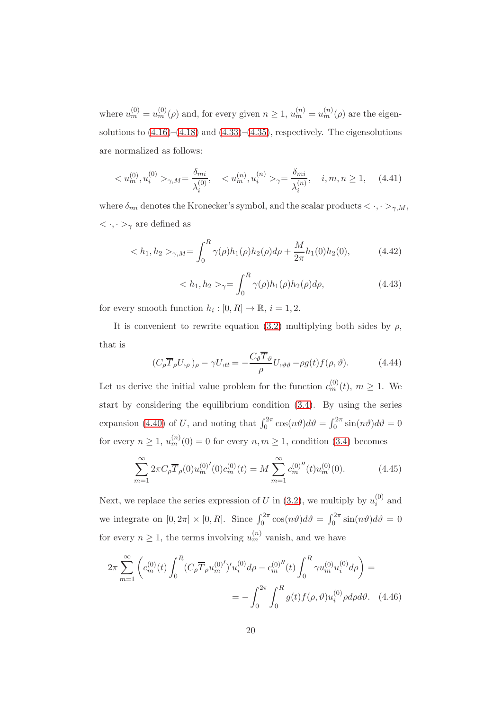where  $u_m^{(0)} = u_m^{(0)}(\rho)$  and, for every given  $n \ge 1$ ,  $u_m^{(n)} = u_m^{(n)}(\rho)$  are the eigensolutions to  $(4.16)$ – $(4.18)$  and  $(4.33)$ – $(4.35)$ , respectively. The eigensolutions are normalized as follows:

<span id="page-19-2"></span>
$$
\langle u_m^{(0)}, u_i^{(0)} \rangle_{\gamma, M} = \frac{\delta_{mi}}{\lambda_i^{(0)}}, \quad \langle u_m^{(n)}, u_i^{(n)} \rangle_{\gamma} = \frac{\delta_{mi}}{\lambda_i^{(n)}}, \quad i, m, n \ge 1, \quad (4.41)
$$

where  $\delta_{mi}$  denotes the Kronecker's symbol, and the scalar products  $\langle \cdot, \cdot \rangle_{\gamma, M}$ ,  $<\cdot,\cdot>_{\gamma}$  are defined as

$$
\langle h_1, h_2 \rangle_{\gamma, M} = \int_0^R \gamma(\rho) h_1(\rho) h_2(\rho) d\rho + \frac{M}{2\pi} h_1(0) h_2(0), \tag{4.42}
$$

$$
\langle h_1, h_2 \rangle_{\gamma} = \int_0^R \gamma(\rho) h_1(\rho) h_2(\rho) d\rho, \tag{4.43}
$$

for every smooth function  $h_i : [0, R] \to \mathbb{R}$ ,  $i = 1, 2$ .

It is convenient to rewrite equation [\(3.2\)](#page-13-1) multiplying both sides by  $\rho$ , that is

$$
(C_{\rho}\overline{T}_{\rho}U_{,\rho})_{\rho} - \gamma U_{,tt} = -\frac{C_{\vartheta}\overline{T}_{\vartheta}}{\rho}U_{,\vartheta\vartheta} - \rho g(t)f(\rho,\vartheta). \tag{4.44}
$$

Let us derive the initial value problem for the function  $c_m^{(0)}(t)$ ,  $m \ge 1$ . We start by considering the equilibrium condition [\(3.4\)](#page-13-1). By using the series expansion [\(4.40\)](#page-18-2) of U, and noting that  $\int_0^{2\pi} \cos(n\theta) d\theta = \int_0^{2\pi} \sin(n\theta) d\theta = 0$ for every  $n \ge 1$ ,  $u_m^{(n)}(0) = 0$  for every  $n, m \ge 1$ , condition [\(3.4\)](#page-13-1) becomes

<span id="page-19-0"></span>
$$
\sum_{m=1}^{\infty} 2\pi C_{\rho} \overline{T}_{\rho}(0) u_m^{(0)'}(0) c_m^{(0)}(t) = M \sum_{m=1}^{\infty} c_m^{(0)''}(t) u_m^{(0)}(0). \tag{4.45}
$$

Next, we replace the series expression of U in  $(3.2)$ , we multiply by  $u_i^{(0)}$  $i^{\text{(U)}}$  and we integrate on  $[0, 2\pi] \times [0, R]$ . Since  $\int_0^{2\pi} \cos(n\vartheta) d\vartheta = \int_0^{2\pi} \sin(n\vartheta) d\vartheta = 0$ for every  $n \geq 1$ , the terms involving  $u_m^{(n)}$  vanish, and we have

<span id="page-19-1"></span>
$$
2\pi \sum_{m=1}^{\infty} \left( c_m^{(0)}(t) \int_0^R (C_\rho \overline{T}_\rho u_m^{(0)'}')' u_i^{(0)} d\rho - c_m^{(0)''}(t) \int_0^R \gamma u_m^{(0)} u_i^{(0)} d\rho \right) =
$$
  
= 
$$
- \int_0^{2\pi} \int_0^R g(t) f(\rho, \vartheta) u_i^{(0)} \rho d\rho d\vartheta.
$$
 (4.46)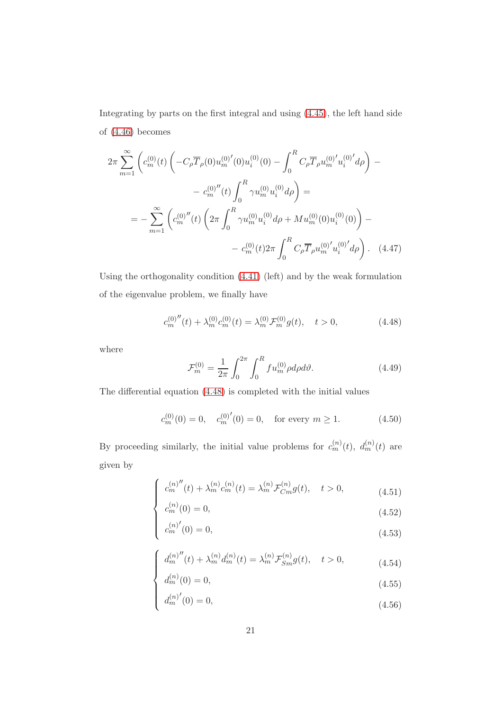Integrating by parts on the first integral and using [\(4.45\)](#page-19-0), the left hand side of [\(4.46\)](#page-19-1) becomes

$$
2\pi \sum_{m=1}^{\infty} \left( c_m^{(0)}(t) \left( -C_{\rho} \overline{T}_{\rho}(0) u_m^{(0)}(0) u_i^{(0)}(0) - \int_0^R C_{\rho} \overline{T}_{\rho} u_m^{(0)}' u_i^{(0)}' d\rho \right) - \right. \\
\left. - c_m^{(0)''}(t) \int_0^R \gamma u_m^{(0)} u_i^{(0)} d\rho \right) = \\
= - \sum_{m=1}^{\infty} \left( c_m^{(0)''}(t) \left( 2\pi \int_0^R \gamma u_m^{(0)} u_i^{(0)} d\rho + M u_m^{(0)}(0) u_i^{(0)}(0) \right) - \right. \\
\left. - c_m^{(0)}(t) 2\pi \int_0^R C_{\rho} \overline{T}_{\rho} u_m^{(0)'} u_i^{(0)}' d\rho \right). \tag{4.47}
$$

Using the orthogonality condition [\(4.41\)](#page-19-2) (left) and by the weak formulation of the eigenvalue problem, we finally have

<span id="page-20-0"></span>
$$
c_m^{(0)''}(t) + \lambda_m^{(0)} c_m^{(0)}(t) = \lambda_m^{(0)} \mathcal{F}_m^{(0)} g(t), \quad t > 0,
$$
\n(4.48)

where

 $\sqrt{ }$ 

<span id="page-20-1"></span>
$$
\mathcal{F}_m^{(0)} = \frac{1}{2\pi} \int_0^{2\pi} \int_0^R f u_m^{(0)} \rho d\rho d\vartheta. \tag{4.49}
$$

The differential equation [\(4.48\)](#page-20-0) is completed with the initial values

$$
c_m^{(0)}(0) = 0, \quad c_m^{(0)'}(0) = 0, \quad \text{for every } m \ge 1. \tag{4.50}
$$

By proceeding similarly, the initial value problems for  $c_m^{(n)}(t)$ ,  $d_m^{(n)}(t)$  are given by

$$
c_m^{(n)''}(t) + \lambda_m^{(n)} c_m^{(n)}(t) = \lambda_m^{(n)} \mathcal{F}_{Cm}^{(n)} g(t), \quad t > 0,
$$
\n(4.51)

$$
\begin{cases}\nc_m^{(n)}(t) + \lambda_m^{(n)} c_m^{(n)}(t) = \lambda_m^{(n)} \mathcal{F}_{Cm}^{(n)} g(t), & t > 0, \\
c_m^{(n)}(0) = 0, & (4.52) \\
c_m^{(n)'}(0) = 0, & (4.53)\n\end{cases}
$$

$$
c_m^{(n)'}(0) = 0,\t\t(4.53)
$$

$$
\int_{d_m^{(n)}(t)} d_m^{(n)''}(t) + \lambda_m^{(n)} d_m^{(n)}(t) = \lambda_m^{(n)} \mathcal{F}_{Sm}^{(n)} g(t), \quad t > 0,
$$
\n(4.54)

$$
d_m^{(n)}(0) = 0,\t\t(4.55)
$$

$$
d_m^{(n)'}(0) = 0,
$$
\n(4.56)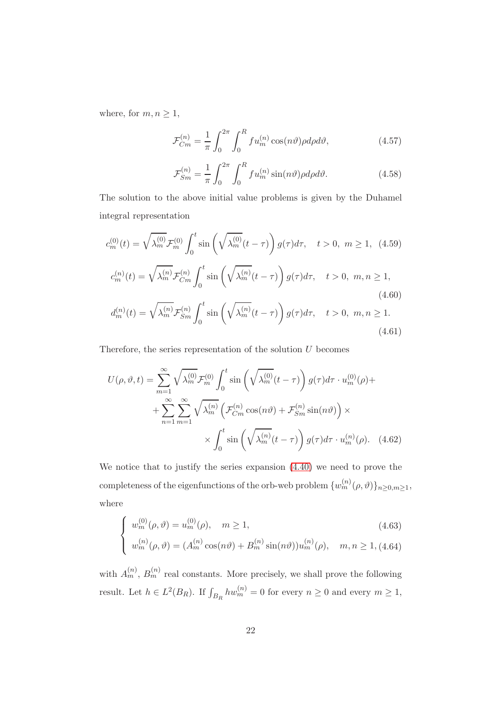where, for  $m, n \geq 1$ ,

<span id="page-21-1"></span>
$$
\mathcal{F}_{Cm}^{(n)} = \frac{1}{\pi} \int_0^{2\pi} \int_0^R f u_m^{(n)} \cos(n\vartheta) \rho d\rho d\vartheta, \qquad (4.57)
$$

<span id="page-21-2"></span>
$$
\mathcal{F}_{Sm}^{(n)} = \frac{1}{\pi} \int_0^{2\pi} \int_0^R f u_m^{(n)} \sin(n\vartheta) \rho d\rho d\vartheta.
$$
 (4.58)

<span id="page-21-0"></span>(4.61)

The solution to the above initial value problems is given by the Duhamel integral representation

$$
c_m^{(0)}(t) = \sqrt{\lambda_m^{(0)}} \mathcal{F}_m^{(0)} \int_0^t \sin\left(\sqrt{\lambda_m^{(0)}}(t-\tau)\right) g(\tau) d\tau, \quad t > 0, \ m \ge 1, \ (4.59)
$$
  

$$
c_m^{(n)}(t) = \sqrt{\lambda_m^{(n)}} \mathcal{F}_{Cm}^{(n)} \int_0^t \sin\left(\sqrt{\lambda_m^{(n)}}(t-\tau)\right) g(\tau) d\tau, \quad t > 0, \ m, n \ge 1,
$$
  

$$
d_m^{(n)}(t) = \sqrt{\lambda_m^{(n)}} \mathcal{F}_{Sm}^{(n)} \int_0^t \sin\left(\sqrt{\lambda_m^{(n)}}(t-\tau)\right) g(\tau) d\tau, \quad t > 0, \ m, n \ge 1.
$$
  
(4.60)

Therefore, the series representation of the solution  $U$  becomes

$$
U(\rho, \vartheta, t) = \sum_{m=1}^{\infty} \sqrt{\lambda_m^{(0)}} \mathcal{F}_m^{(0)} \int_0^t \sin\left(\sqrt{\lambda_m^{(0)}} (t - \tau)\right) g(\tau) d\tau \cdot u_m^{(0)}(\rho) +
$$
  
+ 
$$
\sum_{n=1}^{\infty} \sum_{m=1}^{\infty} \sqrt{\lambda_m^{(n)}} \left(\mathcal{F}_{Cm}^{(n)} \cos(n\vartheta) + \mathcal{F}_{Sm}^{(n)} \sin(n\vartheta)\right) \times
$$
  
 
$$
\times \int_0^t \sin\left(\sqrt{\lambda_m^{(n)}} (t - \tau)\right) g(\tau) d\tau \cdot u_m^{(n)}(\rho). \quad (4.62)
$$

We notice that to justify the series expansion [\(4.40\)](#page-18-2) we need to prove the completeness of the eigenfunctions of the orb-web problem  $\{w_m^{(n)}(\rho,\vartheta)\}_{n\geq 0,m\geq 1}$ , where

$$
\begin{cases}\nw_m^{(0)}(\rho,\vartheta) = u_m^{(0)}(\rho), & m \ge 1, \\
w_m^{(n)}(\rho,\vartheta) = (A_m^{(n)}\cos(n\vartheta) + B_m^{(n)}\sin(n\vartheta))u_m^{(n)}(\rho), & m,n \ge 1, \text{(4.64)}\n\end{cases}
$$

with  $A_m^{(n)}$ ,  $B_m^{(n)}$  real constants. More precisely, we shall prove the following result. Let  $h \in L^2(B_R)$ . If  $\int_{B_R} hw_m^{(n)} = 0$  for every  $n \ge 0$  and every  $m \ge 1$ ,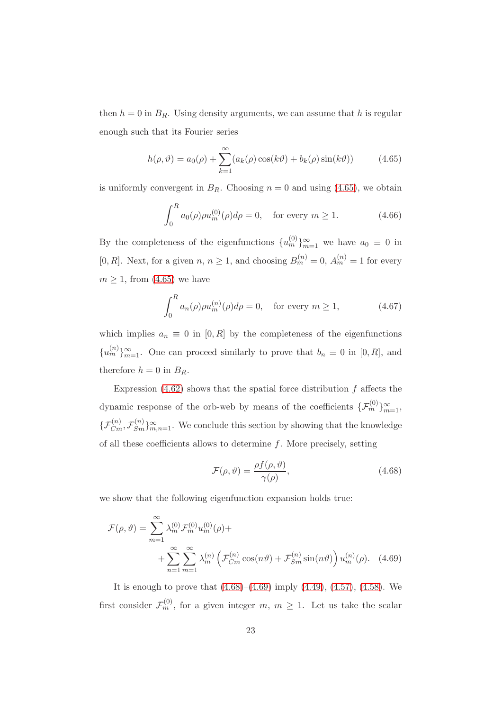then  $h = 0$  in  $B_R$ . Using density arguments, we can assume that h is regular enough such that its Fourier series

<span id="page-22-0"></span>
$$
h(\rho, \vartheta) = a_0(\rho) + \sum_{k=1}^{\infty} (a_k(\rho) \cos(k\vartheta) + b_k(\rho) \sin(k\vartheta))
$$
 (4.65)

is uniformly convergent in  $B_R$ . Choosing  $n = 0$  and using [\(4.65\)](#page-22-0), we obtain

$$
\int_0^R a_0(\rho)\rho u_m^{(0)}(\rho)d\rho = 0, \text{ for every } m \ge 1.
$$
 (4.66)

By the completeness of the eigenfunctions  $\{u_m^{(0)}\}_{m=1}^{\infty}$  we have  $a_0 \equiv 0$  in [0, R]. Next, for a given  $n, n \ge 1$ , and choosing  $B_m^{(n)} = 0$ ,  $A_m^{(n)} = 1$  for every  $m \geq 1$ , from [\(4.65\)](#page-22-0) we have

$$
\int_0^R a_n(\rho)\rho u_m^{(n)}(\rho)d\rho = 0, \quad \text{for every } m \ge 1,
$$
 (4.67)

which implies  $a_n \equiv 0$  in [0, R] by the completeness of the eigenfunctions  ${u_m^{(n)}}_{m=1}^{\infty}$ . One can proceed similarly to prove that  $b_n \equiv 0$  in  $[0, R]$ , and therefore  $h = 0$  in  $B_R$ .

Expression  $(4.62)$  shows that the spatial force distribution f affects the dynamic response of the orb-web by means of the coefficients  $\{\mathcal{F}_m^{(0)}\}_{m=1}^{\infty}$ ,  $\{\mathcal{F}_{Cm}^{(n)}, \mathcal{F}_{Sm}^{(n)}\}_{m,n=1}^{\infty}$ . We conclude this section by showing that the knowledge of all these coefficients allows to determine  $f$ . More precisely, setting

<span id="page-22-2"></span><span id="page-22-1"></span>
$$
\mathcal{F}(\rho,\vartheta) = \frac{\rho f(\rho,\vartheta)}{\gamma(\rho)},\tag{4.68}
$$

we show that the following eigenfunction expansion holds true:

$$
\mathcal{F}(\rho,\vartheta) = \sum_{m=1}^{\infty} \lambda_m^{(0)} \mathcal{F}_m^{(0)} u_m^{(0)}(\rho) +
$$
  
+ 
$$
\sum_{n=1}^{\infty} \sum_{m=1}^{\infty} \lambda_m^{(n)} \left( \mathcal{F}_{C_m}^{(n)} \cos(n\vartheta) + \mathcal{F}_{Sm}^{(n)} \sin(n\vartheta) \right) u_m^{(n)}(\rho).
$$
 (4.69)

It is enough to prove that  $(4.68)$ – $(4.69)$  imply  $(4.49)$ ,  $(4.57)$ ,  $(4.58)$ . We first consider  $\mathcal{F}_m^{(0)}$ , for a given integer  $m, m \geq 1$ . Let us take the scalar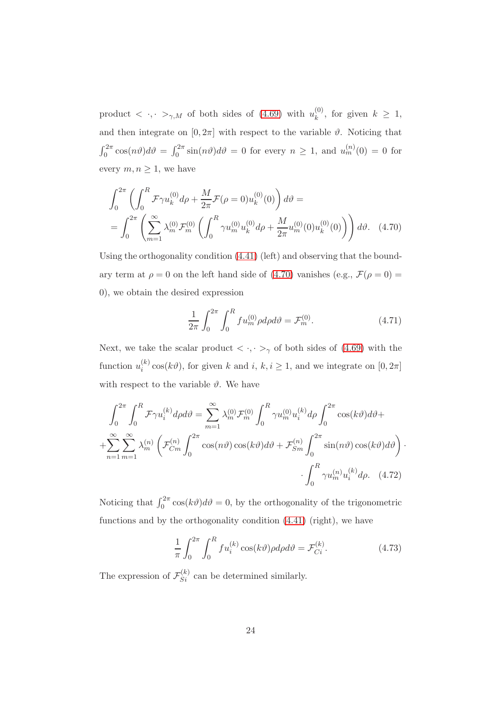product  $\langle \cdot, \cdot \rangle_{\gamma,M}$  of both sides of [\(4.69\)](#page-22-2) with  $u_k^{(0)}$  $\kappa^{(0)}$ , for given  $k \geq 1$ , and then integrate on  $[0, 2\pi]$  with respect to the variable  $\vartheta$ . Noticing that  $\int_0^{2\pi} \cos(n\vartheta) d\vartheta = \int_0^{2\pi} \sin(n\vartheta) d\vartheta = 0$  for every  $n \ge 1$ , and  $u_m^{(n)}(0) = 0$  for every  $m, n \geq 1$ , we have

$$
\int_0^{2\pi} \left( \int_0^R \mathcal{F} \gamma u_k^{(0)} d\rho + \frac{M}{2\pi} \mathcal{F}(\rho = 0) u_k^{(0)}(0) \right) d\vartheta =
$$
  
= 
$$
\int_0^{2\pi} \left( \sum_{m=1}^\infty \lambda_m^{(0)} \mathcal{F}_m^{(0)} \left( \int_0^R \gamma u_m^{(0)} u_k^{(0)} d\rho + \frac{M}{2\pi} u_m^{(0)}(0) u_k^{(0)}(0) \right) \right) d\vartheta.
$$
 (4.70)

Using the orthogonality condition [\(4.41\)](#page-19-2) (left) and observing that the boundary term at  $\rho = 0$  on the left hand side of [\(4.70\)](#page-23-0) vanishes (e.g.,  $\mathcal{F}(\rho = 0) =$ 0), we obtain the desired expression

<span id="page-23-0"></span>
$$
\frac{1}{2\pi} \int_0^{2\pi} \int_0^R f u_m^{(0)} \rho d\rho d\vartheta = \mathcal{F}_m^{(0)}.
$$
 (4.71)

Next, we take the scalar product  $\langle \cdot, \cdot \rangle_{\gamma}$  of both sides of [\(4.69\)](#page-22-2) with the function  $u_i^{(k)}$  $i^{(k)}$  cos( $k\vartheta$ ), for given k and i,  $k, i \geq 1$ , and we integrate on  $[0, 2\pi]$ with respect to the variable  $\vartheta$ . We have

$$
\int_0^{2\pi} \int_0^R \mathcal{F} \gamma u_i^{(k)} d\rho d\vartheta = \sum_{m=1}^\infty \lambda_m^{(0)} \mathcal{F}_m^{(0)} \int_0^R \gamma u_m^{(0)} u_i^{(k)} d\rho \int_0^{2\pi} \cos(k\vartheta) d\vartheta +
$$
  
+
$$
\sum_{n=1}^\infty \sum_{m=1}^\infty \lambda_m^{(n)} \left( \mathcal{F}_{Cm}^{(n)} \int_0^{2\pi} \cos(n\vartheta) \cos(k\vartheta) d\vartheta + \mathcal{F}_{Sm}^{(n)} \int_0^{2\pi} \sin(n\vartheta) \cos(k\vartheta) d\vartheta \right) \cdot
$$
  
-
$$
\int_0^R \gamma u_m^{(n)} u_i^{(k)} d\rho. \quad (4.72)
$$

Noticing that  $\int_0^{2\pi} \cos(k\vartheta) d\vartheta = 0$ , by the orthogonality of the trigonometric functions and by the orthogonality condition [\(4.41\)](#page-19-2) (right), we have

$$
\frac{1}{\pi} \int_0^{2\pi} \int_0^R f u_i^{(k)} \cos(k\vartheta) \rho d\rho d\vartheta = \mathcal{F}_{Ci}^{(k)}.
$$
\n(4.73)

The expression of  $\mathcal{F}_{Si}^{(k)}$  can be determined similarly.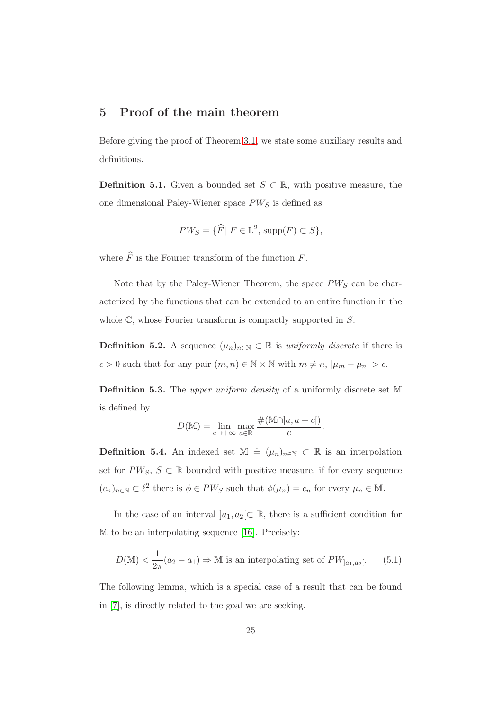#### <span id="page-24-0"></span>5 Proof of the main theorem

Before giving the proof of Theorem [3.1,](#page-13-0) we state some auxiliary results and definitions.

**Definition 5.1.** Given a bounded set  $S \subset \mathbb{R}$ , with positive measure, the one dimensional Paley-Wiener space  $PW_S$  is defined as

$$
PW_S = \{ \widehat{F} | F \in \mathcal{L}^2, \, \text{supp}(F) \subset S \},
$$

where  $\widehat{F}$  is the Fourier transform of the function F.

Note that by the Paley-Wiener Theorem, the space  $PW_S$  can be characterized by the functions that can be extended to an entire function in the whole  $\mathbb{C}$ , whose Fourier transform is compactly supported in  $S$ .

**Definition 5.2.** A sequence  $(\mu_n)_{n \in \mathbb{N}}$  ⊂ ℝ is *uniformly discrete* if there is  $\epsilon > 0$  such that for any pair  $(m, n) \in \mathbb{N} \times \mathbb{N}$  with  $m \neq n$ ,  $|\mu_m - \mu_n| > \epsilon$ .

Definition 5.3. The upper uniform density of a uniformly discrete set M is defined by

$$
D(\mathbb{M}) = \lim_{c \to +\infty} \max_{a \in \mathbb{R}} \frac{\#(\mathbb{M} \cap ]a, a+c[)}{c}.
$$

**Definition 5.4.** An indexed set  $\mathbb{M} \doteq (\mu_n)_{n \in \mathbb{N}} \subset \mathbb{R}$  is an interpolation set for  $PW_S, S \subset \mathbb{R}$  bounded with positive measure, if for every sequence  $(c_n)_{n \in \mathbb{N}} \subset \ell^2$  there is  $\phi \in PW_S$  such that  $\phi(\mu_n) = c_n$  for every  $\mu_n \in \mathbb{M}$ .

In the case of an interval  $]a_1, a_2[\subset \mathbb{R}$ , there is a sufficient condition for M to be an interpolating sequence [\[16\]](#page-31-6). Precisely:

$$
D(M) < \frac{1}{2\pi}(a_2 - a_1) \Rightarrow M \text{ is an interpolating set of } PW_{]a_1, a_2[}.\tag{5.1}
$$

The following lemma, which is a special case of a result that can be found in [\[7\]](#page-29-6), is directly related to the goal we are seeking.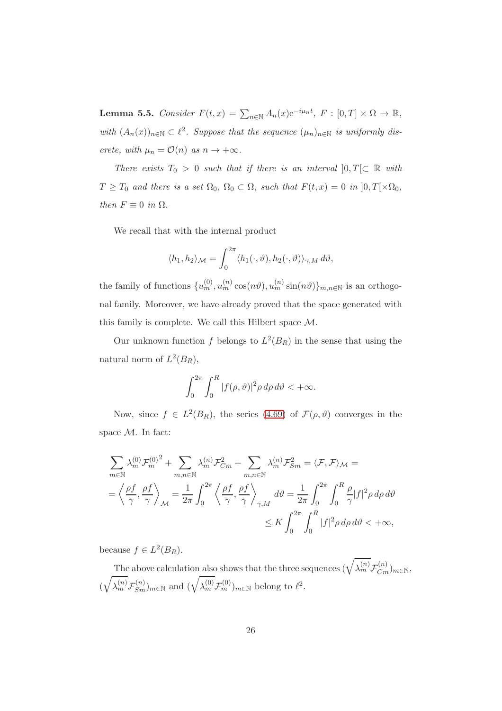<span id="page-25-0"></span>**Lemma 5.5.** Consider  $F(t,x) = \sum_{n \in \mathbb{N}} A_n(x) e^{-i\mu_n t}$ ,  $F : [0, T] \times \Omega \to \mathbb{R}$ , with  $(A_n(x))_{n\in\mathbb{N}}\subset\ell^2$ . Suppose that the sequence  $(\mu_n)_{n\in\mathbb{N}}$  is uniformly discrete, with  $\mu_n = \mathcal{O}(n)$  as  $n \to +\infty$ .

There exists  $T_0 > 0$  such that if there is an interval  $]0, T[ \subset \mathbb{R}$  with  $T \geq T_0$  and there is a set  $\Omega_0$ ,  $\Omega_0 \subset \Omega$ , such that  $F(t, x) = 0$  in  $]0, T[ \times \Omega_0,$ then  $F \equiv 0$  in  $\Omega$ .

We recall that with the internal product

$$
\langle h_1, h_2 \rangle_{\mathcal{M}} = \int_0^{2\pi} \langle h_1(\cdot, \vartheta), h_2(\cdot, \vartheta) \rangle_{\gamma, M} d\vartheta,
$$

the family of functions  $\{u_m^{(0)}, u_m^{(n)}\cos(n\vartheta), u_m^{(n)}\sin(n\vartheta)\}_{m,n\in\mathbb{N}}$  is an orthogonal family. Moreover, we have already proved that the space generated with this family is complete. We call this Hilbert space M.

Our unknown function f belongs to  $L^2(B_R)$  in the sense that using the natural norm of  $L^2(B_R)$ ,

$$
\int_0^{2\pi} \int_0^R |f(\rho,\vartheta)|^2 \rho \,d\rho \,d\vartheta < +\infty.
$$

Now, since  $f \in L^2(B_R)$ , the series [\(4.69\)](#page-22-2) of  $\mathcal{F}(\rho, \vartheta)$  converges in the space M. In fact:

$$
\sum_{m \in \mathbb{N}} \lambda_m^{(0)} \mathcal{F}_m^{(0)^2} + \sum_{m,n \in \mathbb{N}} \lambda_m^{(n)} \mathcal{F}_{Cm}^2 + \sum_{m,n \in \mathbb{N}} \lambda_m^{(n)} \mathcal{F}_{Sm}^2 = \langle \mathcal{F}, \mathcal{F} \rangle_{\mathcal{M}} =
$$
\n
$$
= \left\langle \frac{\rho f}{\gamma}, \frac{\rho f}{\gamma} \right\rangle_{\mathcal{M}} = \frac{1}{2\pi} \int_0^{2\pi} \left\langle \frac{\rho f}{\gamma}, \frac{\rho f}{\gamma} \right\rangle_{\gamma, M} d\theta = \frac{1}{2\pi} \int_0^{2\pi} \int_0^R \frac{\rho}{\gamma} |f|^2 \rho \, d\rho \, d\theta
$$
\n
$$
\leq K \int_0^{2\pi} \int_0^R |f|^2 \rho \, d\rho \, d\theta < +\infty,
$$

because  $f \in L^2(B_R)$ .

The above calculation also shows that the three sequences  $(\sqrt{\lambda_m^{(n)}}\mathcal{F}_{Cm}^{(n)})_{m\in\mathbb{N}},$ (  $\sqrt{ }$  $\overline{\lambda_m^{(n)}} \mathcal{F}_{Sm}^{(n)}$ )<sub>m∈N</sub> and  $(\sqrt{\lambda_m^{(0)}} \mathcal{F}_{m}^{(0)})_{m \in \mathbb{N}}$  belong to  $\ell^2$ .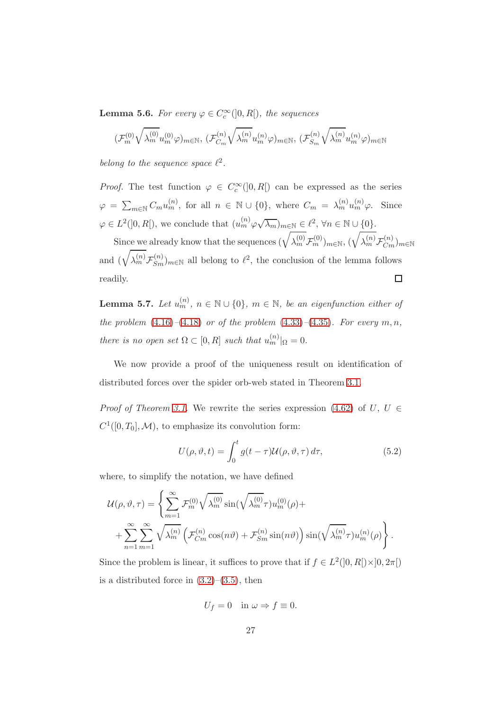<span id="page-26-1"></span>**Lemma 5.6.** For every  $\varphi \in C_c^{\infty}(]0, R[$ , the sequences

$$
(\mathcal{F}_m^{(0)}\sqrt{\lambda_m^{(0)}}u_m^{(0)}\varphi)_{m\in\mathbb{N}},\,(\mathcal{F}_{C_m}^{(n)}\sqrt{\lambda_m^{(n)}}u_m^{(n)}\varphi)_{m\in\mathbb{N}},\,(\mathcal{F}_{S_m}^{(n)}\sqrt{\lambda_m^{(n)}}u_m^{(n)}\varphi)_{m\in\mathbb{N}}
$$

belong to the sequence space  $\ell^2$ .

*Proof.* The test function  $\varphi \in C_c^{\infty}(]0, R[)$  can be expressed as the series  $\varphi = \sum_{m \in \mathbb{N}} C_m u_m^{(n)}$ , for all  $n \in \mathbb{N} \cup \{0\}$ , where  $C_m = \lambda_m^{(n)} u_m^{(n)} \varphi$ . Since  $\varphi \in L^2(]0,R[),$  we conclude that  $(u_m^{(n)}\varphi\sqrt{\lambda_m})_{m\in\mathbb{N}} \in \ell^2, \forall n \in \mathbb{N} \cup \{0\}.$ 

Since we already know that the sequences  $(\sqrt{\lambda_m^{(0)}}\mathcal{F}_m^{(0)})_{m\in\mathbb{N}}, (\sqrt{\lambda_m^{(n)}}\mathcal{F}_{Cm}^{(n)})_{m\in\mathbb{N}}$ and  $(\sqrt{\lambda_m^{(n)}}\mathcal{F}_{Sm}^{(n)})_{m\in\mathbb{N}}$  all belong to  $\ell^2$ , the conclusion of the lemma follows  $\Box$ readily.

**Lemma 5.7.** Let  $u_m^{(n)}$ ,  $n \in \mathbb{N} \cup \{0\}$ ,  $m \in \mathbb{N}$ , be an eigenfunction either of the problem  $(4.16)$ – $(4.18)$  or of the problem  $(4.33)$ – $(4.35)$ . For every m, n, there is no open set  $\Omega \subset [0, R]$  such that  $u_m^{(n)}|_{\Omega} = 0$ .

We now provide a proof of the uniqueness result on identification of distributed forces over the spider orb-web stated in Theorem [3.1.](#page-13-0)

*Proof of Theorem [3.1.](#page-13-0)* We rewrite the series expression [\(4.62\)](#page-21-0) of U, U  $\in$  $C^1([0,T_0],\mathcal{M})$ , to emphasize its convolution form:

<span id="page-26-0"></span>
$$
U(\rho, \vartheta, t) = \int_0^t g(t - \tau) \mathcal{U}(\rho, \vartheta, \tau) d\tau,
$$
\n(5.2)

where, to simplify the notation, we have defined

$$
\mathcal{U}(\rho,\vartheta,\tau) = \left\{ \sum_{m=1}^{\infty} \mathcal{F}_m^{(0)} \sqrt{\lambda_m^{(0)}} \sin(\sqrt{\lambda_m^{(0)}} \tau) u_m^{(0)}(\rho) + \right. \\ \left. + \sum_{n=1}^{\infty} \sum_{m=1}^{\infty} \sqrt{\lambda_m^{(n)}} \left( \mathcal{F}_{Cm}^{(n)} \cos(n\vartheta) + \mathcal{F}_{Sm}^{(n)} \sin(n\vartheta) \right) \sin(\sqrt{\lambda_m^{(n)}} \tau) u_m^{(n)}(\rho) \right\}.
$$

Since the problem is linear, it suffices to prove that if  $f \in L^2([0, R[)\times ]0, 2\pi[)$ is a distributed force in  $(3.2)$ – $(3.5)$ , then

$$
U_f = 0 \quad \text{in } \omega \Rightarrow f \equiv 0.
$$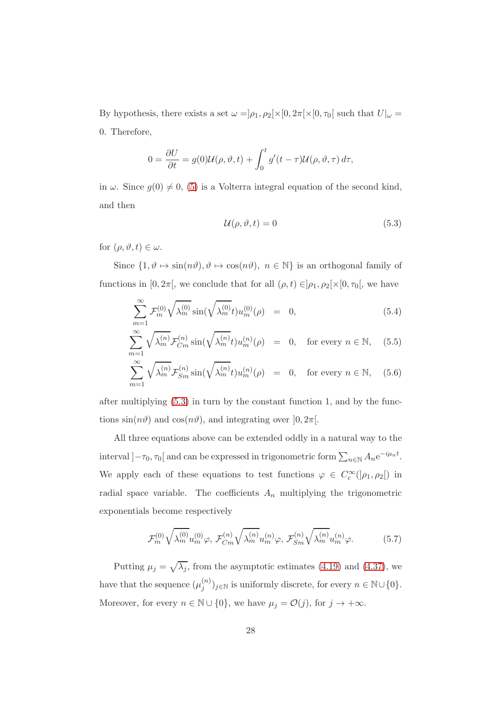By hypothesis, there exists a set  $\omega = \vert \rho_1, \rho_2 \vert \times [0, 2\pi] \times [0, \tau_0]$  such that  $U \vert_{\omega} =$ 0. Therefore,

$$
0 = \frac{\partial U}{\partial t} = g(0)U(\rho, \vartheta, t) + \int_0^t g'(t - \tau)U(\rho, \vartheta, \tau) d\tau,
$$

in  $\omega$ . Since  $g(0) \neq 0$ , [\(5\)](#page-26-0) is a Volterra integral equation of the second kind, and then

<span id="page-27-0"></span>
$$
\mathcal{U}(\rho, \vartheta, t) = 0 \tag{5.3}
$$

for  $(\rho, \vartheta, t) \in \omega$ .

Since  $\{1, \vartheta \mapsto \sin(n\vartheta), \vartheta \mapsto \cos(n\vartheta), \ n \in \mathbb{N}\}\$ is an orthogonal family of functions in [0,  $2\pi$ ], we conclude that for all  $(\rho, t) \in ]\rho_1, \rho_2[\times [0, \tau_0[$ , we have

$$
\sum_{m=1}^{\infty} \mathcal{F}_m^{(0)} \sqrt{\lambda_m^{(0)}} \sin(\sqrt{\lambda_m^{(0)}} t) u_m^{(0)}(\rho) = 0, \qquad (5.4)
$$

$$
\sum_{m=1}^{\infty} \sqrt{\lambda_m^{(n)}} \mathcal{F}_{Cm}^{(n)} \sin(\sqrt{\lambda_m^{(n)}} t) u_m^{(n)}(\rho) = 0, \text{ for every } n \in \mathbb{N}, \quad (5.5)
$$

$$
\sum_{m=1}^{\infty} \sqrt{\lambda_m^{(n)}} \mathcal{F}_{Sm}^{(n)} \sin(\sqrt{\lambda_m^{(n)}} t) u_m^{(n)}(\rho) = 0, \text{ for every } n \in \mathbb{N}, \quad (5.6)
$$

after multiplying [\(5.3\)](#page-27-0) in turn by the constant function 1, and by the functions  $\sin(n\vartheta)$  and  $\cos(n\vartheta)$ , and integrating over  $[0, 2\pi]$ .

All three equations above can be extended oddly in a natural way to the interval ] $-\tau_0$ ,  $\tau_0$ [ and can be expressed in trigonometric form  $\sum_{n\in\mathbb{N}} A_n e^{-i\mu_n t}$ . We apply each of these equations to test functions  $\varphi \in C_c^{\infty}(\ ]\rho_1,\rho_2[)$  in radial space variable. The coefficients  $A_n$  multiplying the trigonometric exponentials become respectively

<span id="page-27-1"></span>
$$
\mathcal{F}_m^{(0)}\sqrt{\lambda_m^{(0)}}u_m^{(0)}\varphi, \ \mathcal{F}_{Cm}^{(n)}\sqrt{\lambda_m^{(n)}}u_m^{(n)}\varphi, \ \mathcal{F}_{Sm}^{(n)}\sqrt{\lambda_m^{(n)}}u_m^{(n)}\varphi.
$$
 (5.7)

Putting  $\mu_j = \sqrt{\lambda_j}$ , from the asymptotic estimates [\(4.19\)](#page-16-1) and [\(4.37\)](#page-18-1), we have that the sequence  $(\mu_i^{(n)})$  ${j^{(n)}}$ )<sub>j∈N</sub> is uniformly discrete, for every  $n \in \mathbb{N} \cup \{0\}$ . Moreover, for every  $n \in \mathbb{N} \cup \{0\}$ , we have  $\mu_j = \mathcal{O}(j)$ , for  $j \to +\infty$ .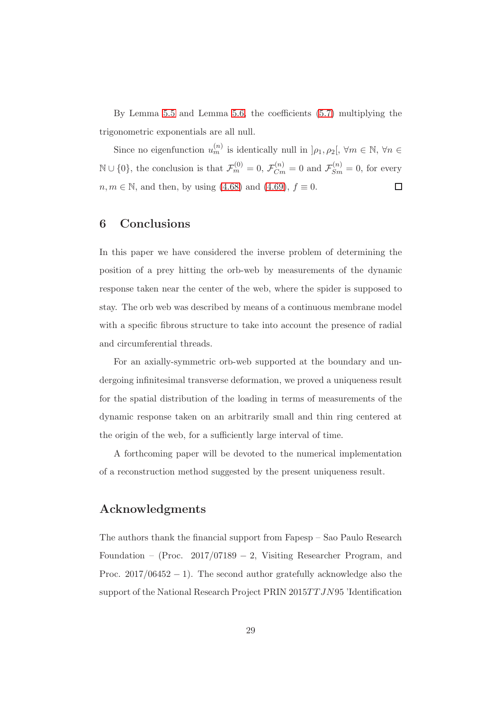By Lemma [5.5](#page-25-0) and Lemma [5.6,](#page-26-1) the coefficients [\(5.7\)](#page-27-1) multiplying the trigonometric exponentials are all null.

Since no eigenfunction  $u_m^{(n)}$  is identically null in  $]\rho_1, \rho_2[$ ,  $\forall m \in \mathbb{N}, \forall n \in$  $\mathbb{N} \cup \{0\}$ , the conclusion is that  $\mathcal{F}_m^{(0)} = 0$ ,  $\mathcal{F}_{Cm}^{(n)} = 0$  and  $\mathcal{F}_{Sm}^{(n)} = 0$ , for every  $n, m \in \mathbb{N}$ , and then, by using [\(4.68\)](#page-22-1) and [\(4.69\)](#page-22-2),  $f \equiv 0$ .  $\Box$ 

## 6 Conclusions

In this paper we have considered the inverse problem of determining the position of a prey hitting the orb-web by measurements of the dynamic response taken near the center of the web, where the spider is supposed to stay. The orb web was described by means of a continuous membrane model with a specific fibrous structure to take into account the presence of radial and circumferential threads.

For an axially-symmetric orb-web supported at the boundary and undergoing infinitesimal transverse deformation, we proved a uniqueness result for the spatial distribution of the loading in terms of measurements of the dynamic response taken on an arbitrarily small and thin ring centered at the origin of the web, for a sufficiently large interval of time.

A forthcoming paper will be devoted to the numerical implementation of a reconstruction method suggested by the present uniqueness result.

## Acknowledgments

The authors thank the financial support from Fapesp – Sao Paulo Research Foundation – (Proc. 2017/07189 − 2, Visiting Researcher Program, and Proc.  $2017/06452 - 1$ ). The second author gratefully acknowledge also the support of the National Research Project PRIN  $2015TTJN95$  'Identification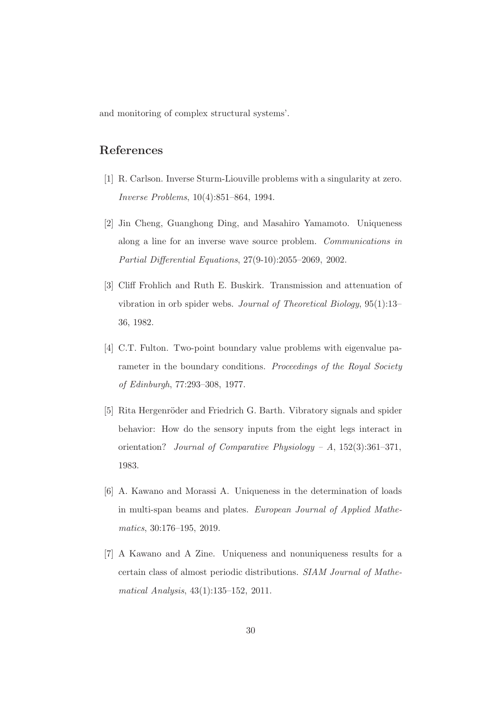and monitoring of complex structural systems'.

## <span id="page-29-5"></span>References

- <span id="page-29-3"></span>[1] R. Carlson. Inverse Sturm-Liouville problems with a singularity at zero. Inverse Problems, 10(4):851–864, 1994.
- [2] Jin Cheng, Guanghong Ding, and Masahiro Yamamoto. Uniqueness along a line for an inverse wave source problem. Communications in Partial Differential Equations, 27(9-10):2055–2069, 2002.
- <span id="page-29-1"></span>[3] Cliff Frohlich and Ruth E. Buskirk. Transmission and attenuation of vibration in orb spider webs. Journal of Theoretical Biology, 95(1):13– 36, 1982.
- <span id="page-29-4"></span>[4] C.T. Fulton. Two-point boundary value problems with eigenvalue parameter in the boundary conditions. Proceedings of the Royal Society of Edinburgh, 77:293–308, 1977.
- <span id="page-29-0"></span>[5] Rita Hergenröder and Friedrich G. Barth. Vibratory signals and spider behavior: How do the sensory inputs from the eight legs interact in orientation? Journal of Comparative Physiology - A,  $152(3):361-371$ , 1983.
- <span id="page-29-2"></span>[6] A. Kawano and Morassi A. Uniqueness in the determination of loads in multi-span beams and plates. European Journal of Applied Mathematics, 30:176–195, 2019.
- <span id="page-29-6"></span>[7] A Kawano and A Zine. Uniqueness and nonuniqueness results for a certain class of almost periodic distributions. SIAM Journal of Mathematical Analysis, 43(1):135–152, 2011.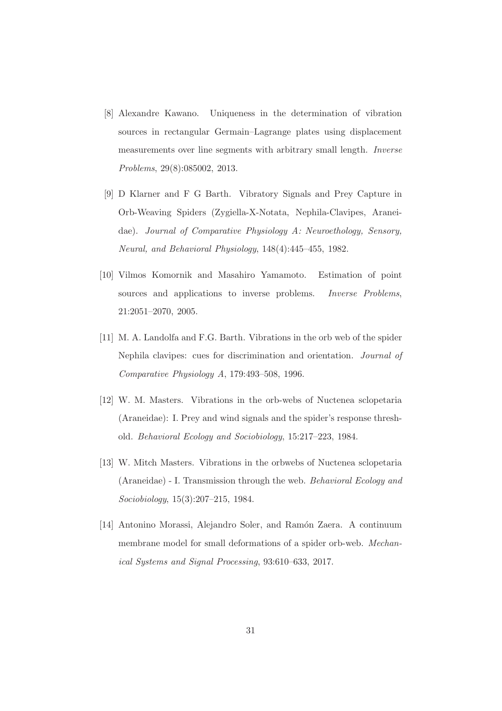- <span id="page-30-5"></span>[8] Alexandre Kawano. Uniqueness in the determination of vibration sources in rectangular Germain–Lagrange plates using displacement measurements over line segments with arbitrary small length. Inverse Problems, 29(8):085002, 2013.
- <span id="page-30-0"></span>[9] D Klarner and F G Barth. Vibratory Signals and Prey Capture in Orb-Weaving Spiders (Zygiella-X-Notata, Nephila-Clavipes, Araneidae). Journal of Comparative Physiology A: Neuroethology, Sensory, Neural, and Behavioral Physiology, 148(4):445–455, 1982.
- <span id="page-30-6"></span>[10] Vilmos Komornik and Masahiro Yamamoto. Estimation of point sources and applications to inverse problems. *Inverse Problems*, 21:2051–2070, 2005.
- <span id="page-30-3"></span>[11] M. A. Landolfa and F.G. Barth. Vibrations in the orb web of the spider Nephila clavipes: cues for discrimination and orientation. Journal of Comparative Physiology A, 179:493–508, 1996.
- <span id="page-30-2"></span>[12] W. M. Masters. Vibrations in the orb-webs of Nuctenea sclopetaria (Araneidae): I. Prey and wind signals and the spider's response threshold. Behavioral Ecology and Sociobiology, 15:217–223, 1984.
- <span id="page-30-1"></span>[13] W. Mitch Masters. Vibrations in the orbwebs of Nuctenea sclopetaria (Araneidae) - I. Transmission through the web. Behavioral Ecology and Sociobiology, 15(3):207–215, 1984.
- <span id="page-30-4"></span>[14] Antonino Morassi, Alejandro Soler, and Ramón Zaera. A continuum membrane model for small deformations of a spider orb-web. Mechanical Systems and Signal Processing, 93:610–633, 2017.